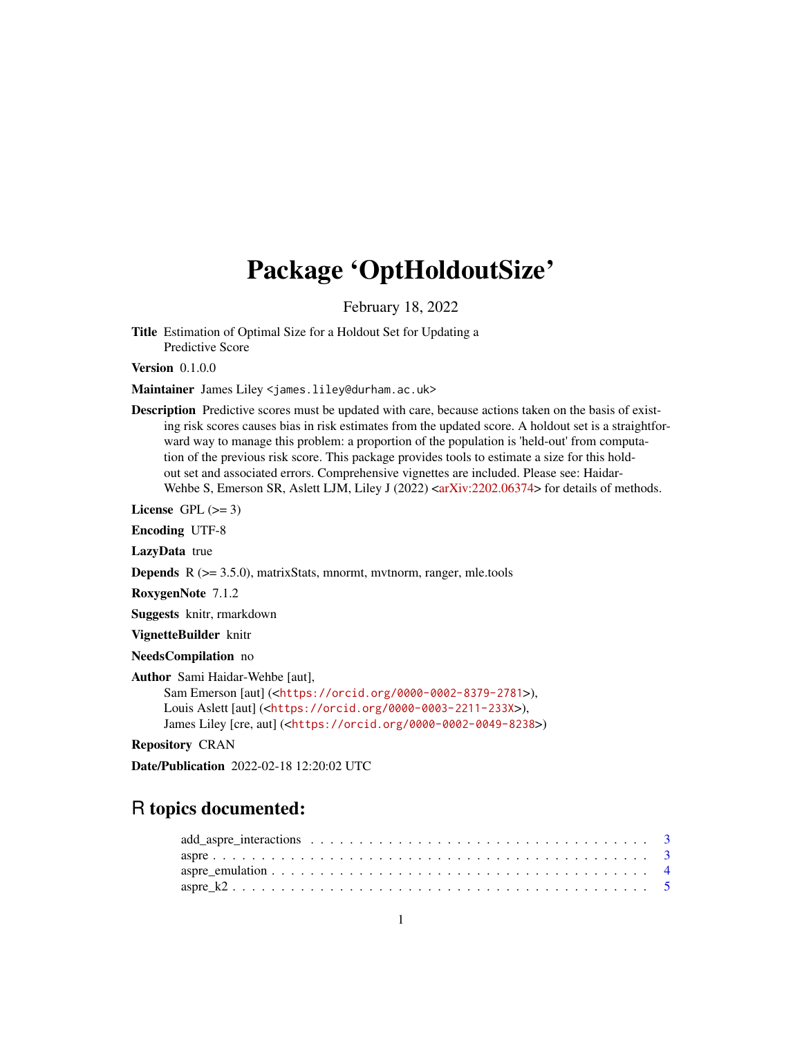# Package 'OptHoldoutSize'

February 18, 2022

Title Estimation of Optimal Size for a Holdout Set for Updating a Predictive Score

Version 0.1.0.0

Maintainer James Liley <james.liley@durham.ac.uk>

Description Predictive scores must be updated with care, because actions taken on the basis of existing risk scores causes bias in risk estimates from the updated score. A holdout set is a straightforward way to manage this problem: a proportion of the population is 'held-out' from computation of the previous risk score. This package provides tools to estimate a size for this holdout set and associated errors. Comprehensive vignettes are included. Please see: Haidar-Wehbe S, Emerson SR, Aslett LJM, Liley J (2022) <axxiv:2202.06374> for details of methods.

License GPL  $(>= 3)$ 

Encoding UTF-8

LazyData true

**Depends**  $R$  ( $>= 3.5.0$ ), matrixStats, mnormt, mvtnorm, ranger, mle.tools

RoxygenNote 7.1.2

Suggests knitr, rmarkdown

VignetteBuilder knitr

NeedsCompilation no

Author Sami Haidar-Wehbe [aut],

Sam Emerson [aut] (<<https://orcid.org/0000-0002-8379-2781>>), Louis Aslett [aut] (<<https://orcid.org/0000-0003-2211-233X>>), James Liley [cre, aut] (<<https://orcid.org/0000-0002-0049-8238>>)

Repository CRAN

Date/Publication 2022-02-18 12:20:02 UTC

# R topics documented:

| $\text{aspre\_k2 5}$ |  |  |  |  |  |  |  |  |  |  |  |  |  |  |  |  |  |
|----------------------|--|--|--|--|--|--|--|--|--|--|--|--|--|--|--|--|--|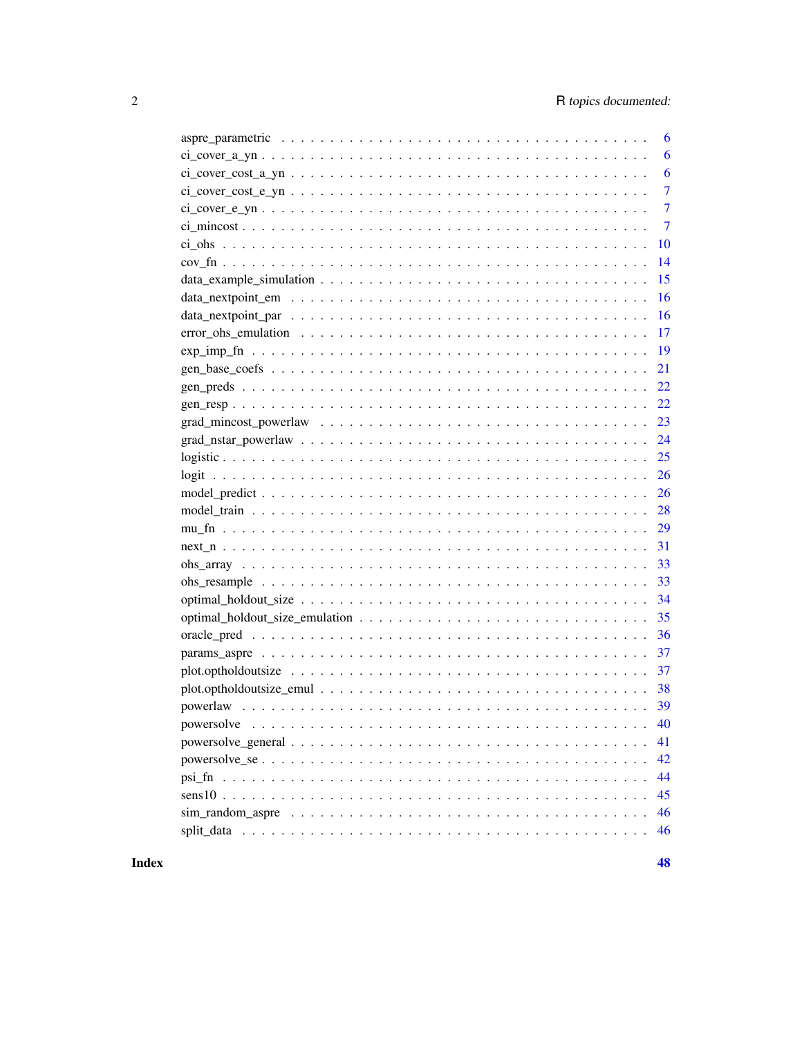| 6                                                                                    |
|--------------------------------------------------------------------------------------|
| 6                                                                                    |
| 6                                                                                    |
| 7                                                                                    |
| $\overline{7}$                                                                       |
| $\overline{7}$                                                                       |
| 10                                                                                   |
| 14                                                                                   |
| 15                                                                                   |
| 16                                                                                   |
| 16                                                                                   |
| 17                                                                                   |
| $\exp\lim_{n \to \infty} \frac{f(n+1)(n+1)(n+1)(n+1)(n+1)(n+1)(n+1)(n+1)(n+1)}{n+1}$ |
| 21                                                                                   |
| 22                                                                                   |
|                                                                                      |
|                                                                                      |
|                                                                                      |
| 25                                                                                   |
|                                                                                      |
| 26                                                                                   |
| 28                                                                                   |
| 29                                                                                   |
|                                                                                      |
|                                                                                      |
| 33                                                                                   |
| 34                                                                                   |
|                                                                                      |
|                                                                                      |
|                                                                                      |
|                                                                                      |
|                                                                                      |
|                                                                                      |
| powersolve<br>40                                                                     |
| 41                                                                                   |
| 42                                                                                   |
| 44                                                                                   |
| 45<br>$sens10$                                                                       |
| 46                                                                                   |
| 46                                                                                   |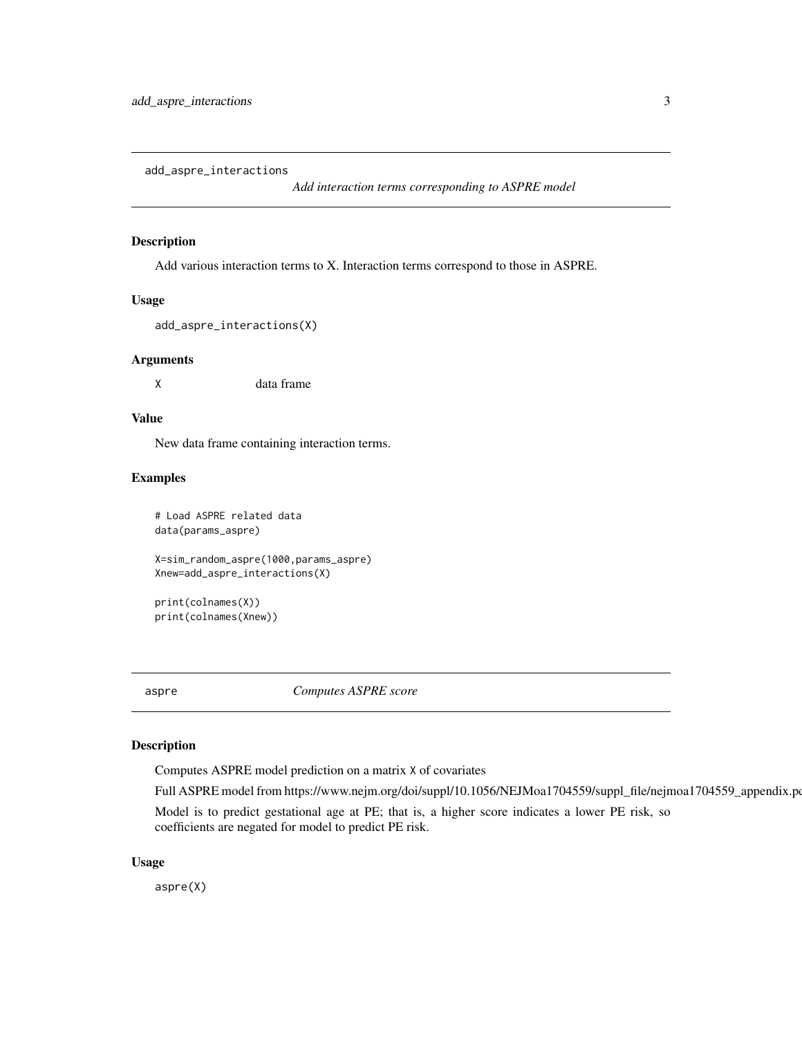<span id="page-2-0"></span>add\_aspre\_interactions

*Add interaction terms corresponding to ASPRE model*

#### Description

Add various interaction terms to X. Interaction terms correspond to those in ASPRE.

#### Usage

```
add_aspre_interactions(X)
```
# Arguments

X data frame

# Value

New data frame containing interaction terms.

# Examples

```
# Load ASPRE related data
data(params_aspre)
X=sim_random_aspre(1000,params_aspre)
Xnew=add_aspre_interactions(X)
```
print(colnames(X)) print(colnames(Xnew))

aspre *Computes ASPRE score*

#### Description

Computes ASPRE model prediction on a matrix X of covariates

Full ASPRE model from https://www.nejm.org/doi/suppl/10.1056/NEJMoa1704559/suppl\_file/nejmoa1704559\_appendix.pd

Model is to predict gestational age at PE; that is, a higher score indicates a lower PE risk, so coefficients are negated for model to predict PE risk.

#### Usage

aspre(X)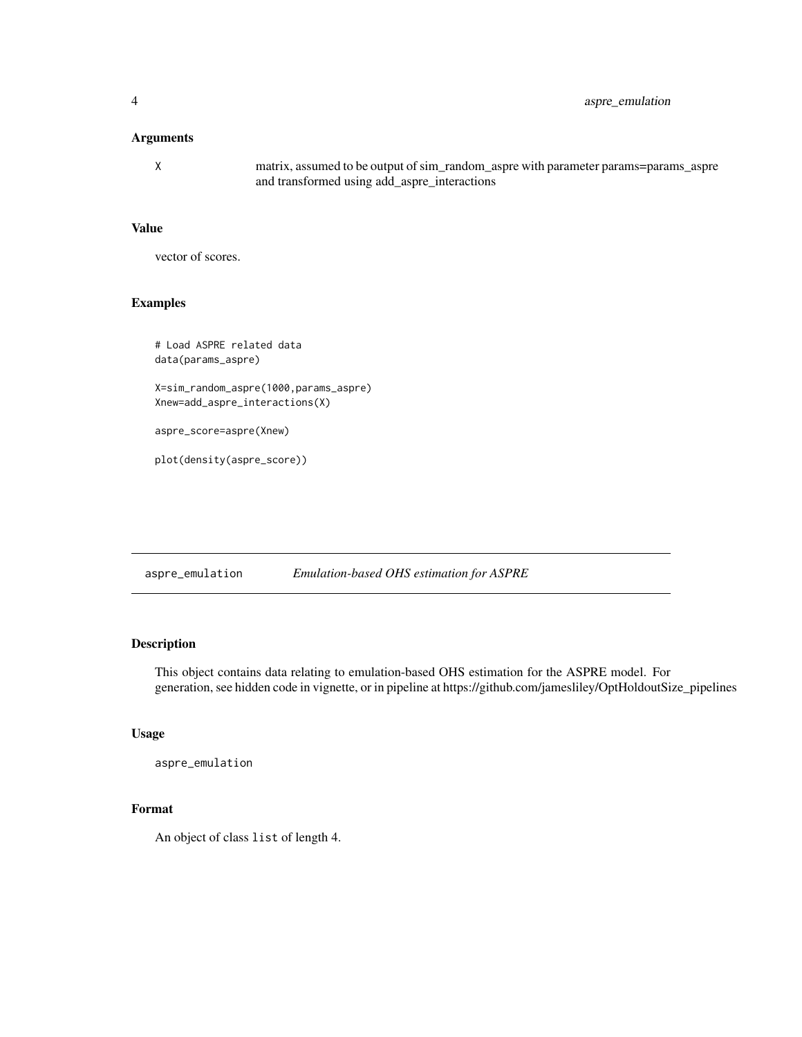# <span id="page-3-0"></span>Arguments

X matrix, assumed to be output of sim\_random\_aspre with parameter params=params\_aspre and transformed using add\_aspre\_interactions

#### Value

vector of scores.

# Examples

# Load ASPRE related data data(params\_aspre)

X=sim\_random\_aspre(1000,params\_aspre) Xnew=add\_aspre\_interactions(X)

aspre\_score=aspre(Xnew)

plot(density(aspre\_score))

aspre\_emulation *Emulation-based OHS estimation for ASPRE*

# Description

This object contains data relating to emulation-based OHS estimation for the ASPRE model. For generation, see hidden code in vignette, or in pipeline at https://github.com/jamesliley/OptHoldoutSize\_pipelines

#### Usage

```
aspre_emulation
```
# Format

An object of class list of length 4.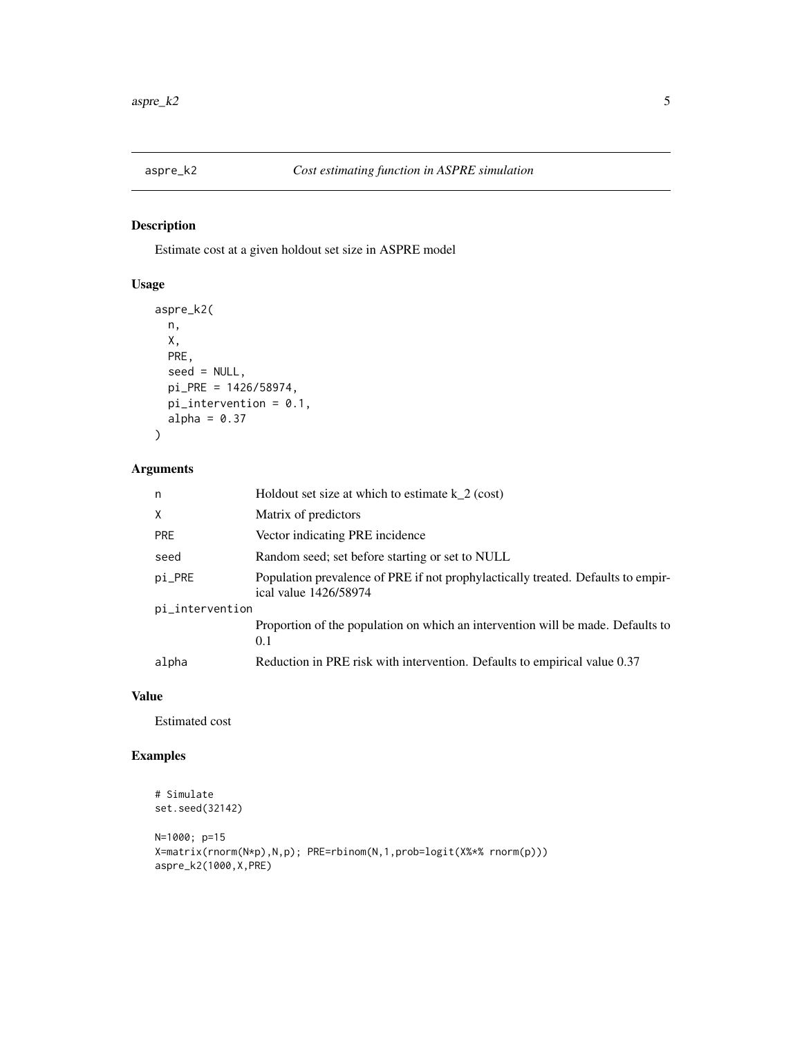<span id="page-4-0"></span>

# Description

Estimate cost at a given holdout set size in ASPRE model

# Usage

```
aspre_k2(
 n,
 X,
 PRE,
  seed = NULL,
 pi_PRE = 1426/58974,
 pi_intervention = 0.1,
 alpha = 0.37)
```
# Arguments

| n               | Holdout set size at which to estimate $k_2$ (cost)                                                        |
|-----------------|-----------------------------------------------------------------------------------------------------------|
| X               | Matrix of predictors                                                                                      |
| <b>PRE</b>      | Vector indicating PRE incidence                                                                           |
| seed            | Random seed; set before starting or set to NULL                                                           |
| pi_PRE          | Population prevalence of PRE if not prophylactically treated. Defaults to empir-<br>ical value 1426/58974 |
| pi_intervention |                                                                                                           |
|                 | Proportion of the population on which an intervention will be made. Defaults to<br>0.1                    |
| alpha           | Reduction in PRE risk with intervention. Defaults to empirical value 0.37                                 |

# Value

Estimated cost

```
# Simulate
set.seed(32142)
N=1000; p=15
X=matrix(rnorm(N*p),N,p); PRE=rbinom(N,1,prob=logit(X%*% rnorm(p)))
aspre_k2(1000,X,PRE)
```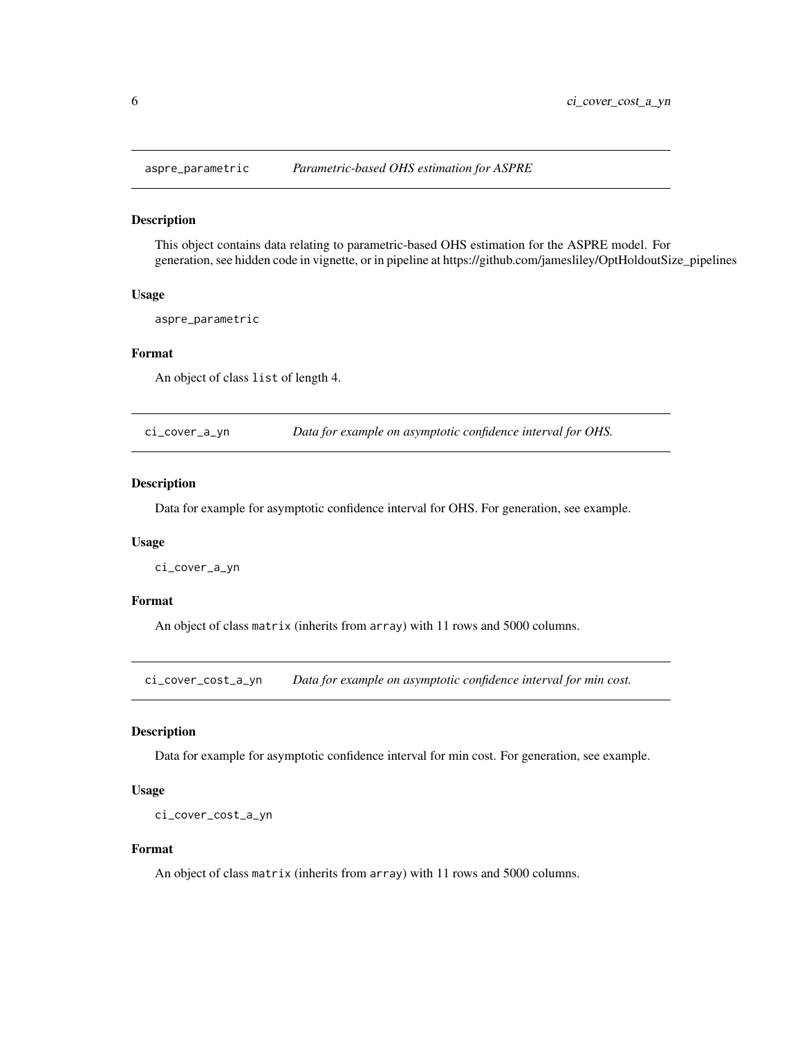<span id="page-5-0"></span>

#### Description

This object contains data relating to parametric-based OHS estimation for the ASPRE model. For generation, see hidden code in vignette, or in pipeline at https://github.com/jamesliley/OptHoldoutSize\_pipelines

#### Usage

aspre\_parametric

# Format

An object of class list of length 4.

ci\_cover\_a\_yn *Data for example on asymptotic confidence interval for OHS.*

# Description

Data for example for asymptotic confidence interval for OHS. For generation, see example.

#### Usage

ci\_cover\_a\_yn

#### Format

An object of class matrix (inherits from array) with 11 rows and 5000 columns.

ci\_cover\_cost\_a\_yn *Data for example on asymptotic confidence interval for min cost.*

#### Description

Data for example for asymptotic confidence interval for min cost. For generation, see example.

#### Usage

```
ci_cover_cost_a_yn
```
#### Format

An object of class matrix (inherits from array) with 11 rows and 5000 columns.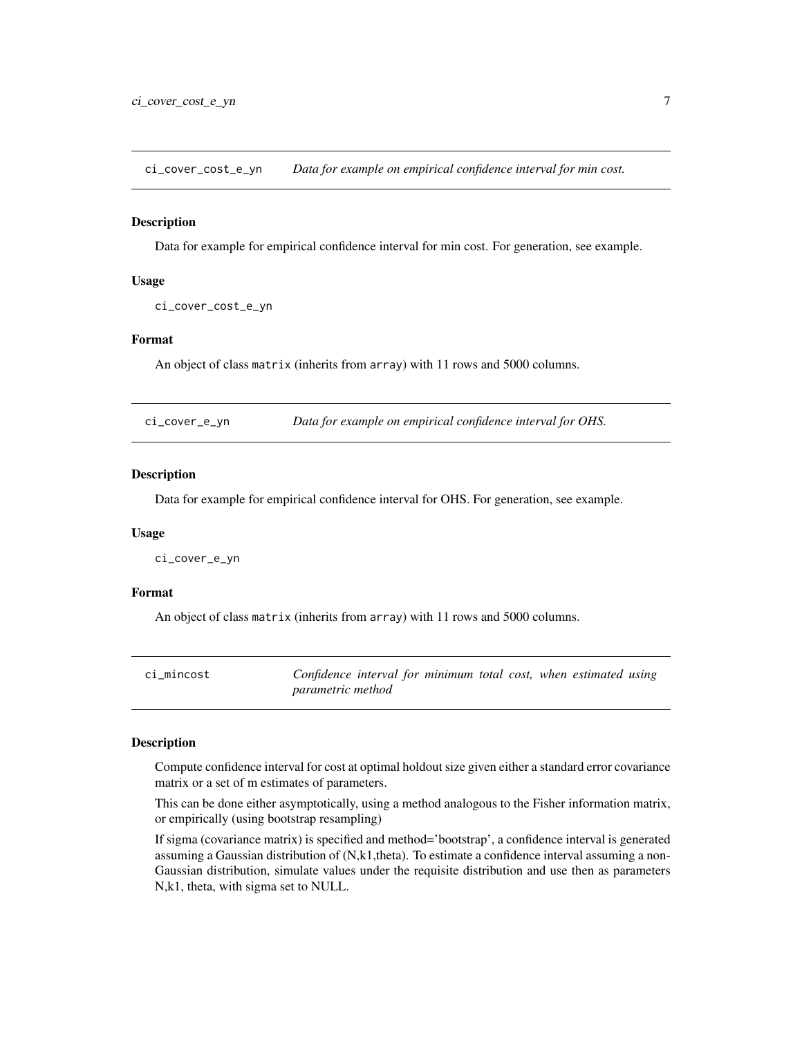<span id="page-6-0"></span>ci\_cover\_cost\_e\_yn *Data for example on empirical confidence interval for min cost.*

#### Description

Data for example for empirical confidence interval for min cost. For generation, see example.

#### Usage

```
ci_cover_cost_e_yn
```
# Format

An object of class matrix (inherits from array) with 11 rows and 5000 columns.

| Data for example on empirical confidence interval for OHS.<br>ci_cover_e_yn |  |
|-----------------------------------------------------------------------------|--|
|-----------------------------------------------------------------------------|--|

# Description

Data for example for empirical confidence interval for OHS. For generation, see example.

# Usage

ci\_cover\_e\_yn

# Format

An object of class matrix (inherits from array) with 11 rows and 5000 columns.

| ci mincost | Confidence interval for minimum total cost, when estimated using |  |
|------------|------------------------------------------------------------------|--|
|            | <i>parametric method</i>                                         |  |

#### Description

Compute confidence interval for cost at optimal holdout size given either a standard error covariance matrix or a set of m estimates of parameters.

This can be done either asymptotically, using a method analogous to the Fisher information matrix, or empirically (using bootstrap resampling)

If sigma (covariance matrix) is specified and method='bootstrap', a confidence interval is generated assuming a Gaussian distribution of (N,k1,theta). To estimate a confidence interval assuming a non-Gaussian distribution, simulate values under the requisite distribution and use then as parameters N,k1, theta, with sigma set to NULL.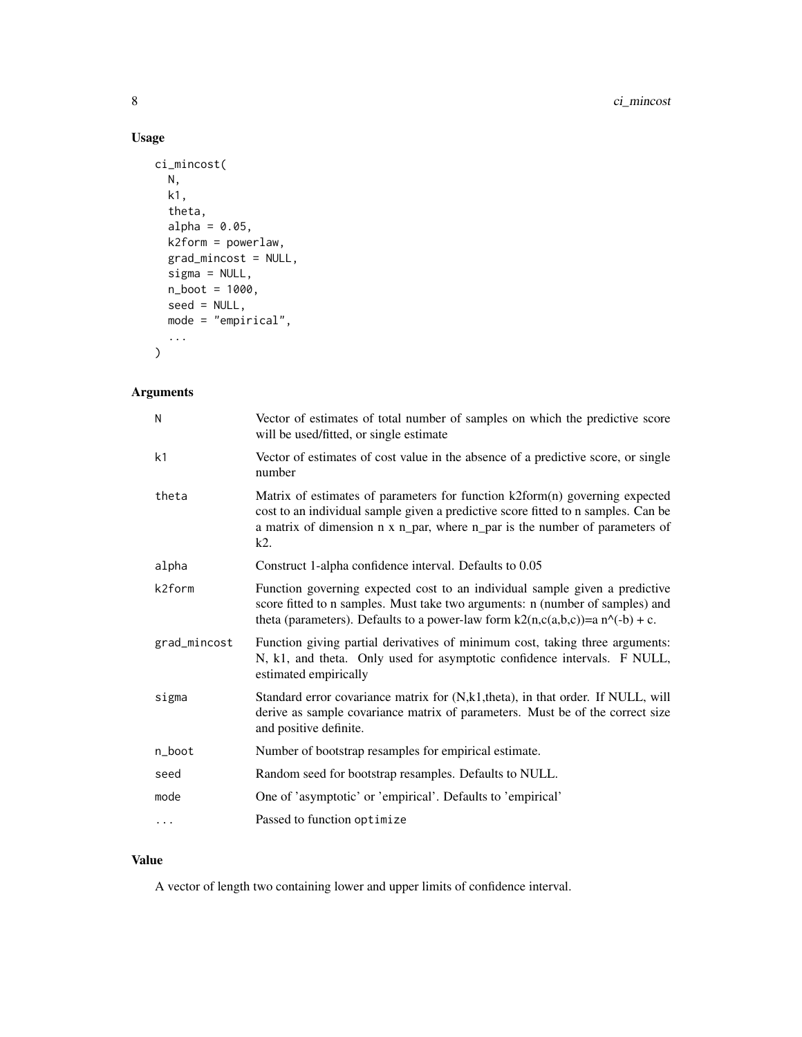# Usage

```
ci_mincost(
 N,
 k1,
  theta,
 alpha = 0.05,
 k2form = powerlaw,
 grad_mincost = NULL,
 sigma = NULL,
 n_boot = 1000,
 seed = NULL,
 mode = "empirical",
  ...
)
```
# Arguments

| Ν            | Vector of estimates of total number of samples on which the predictive score<br>will be used/fitted, or single estimate                                                                                                                                  |
|--------------|----------------------------------------------------------------------------------------------------------------------------------------------------------------------------------------------------------------------------------------------------------|
| k1           | Vector of estimates of cost value in the absence of a predictive score, or single<br>number                                                                                                                                                              |
| theta        | Matrix of estimates of parameters for function k2form(n) governing expected<br>cost to an individual sample given a predictive score fitted to n samples. Can be<br>a matrix of dimension n x n_par, where n_par is the number of parameters of<br>k2.   |
| alpha        | Construct 1-alpha confidence interval. Defaults to 0.05                                                                                                                                                                                                  |
| k2form       | Function governing expected cost to an individual sample given a predictive<br>score fitted to n samples. Must take two arguments: n (number of samples) and<br>theta (parameters). Defaults to a power-law form $k2(n,c(a,b,c))=a n^{\wedge}(-b) + c$ . |
| grad_mincost | Function giving partial derivatives of minimum cost, taking three arguments:<br>N, k1, and theta. Only used for asymptotic confidence intervals. F NULL,<br>estimated empirically                                                                        |
| sigma        | Standard error covariance matrix for (N,k1,theta), in that order. If NULL, will<br>derive as sample covariance matrix of parameters. Must be of the correct size<br>and positive definite.                                                               |
| n_boot       | Number of bootstrap resamples for empirical estimate.                                                                                                                                                                                                    |
| seed         | Random seed for bootstrap resamples. Defaults to NULL.                                                                                                                                                                                                   |
| mode         | One of 'asymptotic' or 'empirical'. Defaults to 'empirical'                                                                                                                                                                                              |
| $\cdots$     | Passed to function optimize                                                                                                                                                                                                                              |

# Value

A vector of length two containing lower and upper limits of confidence interval.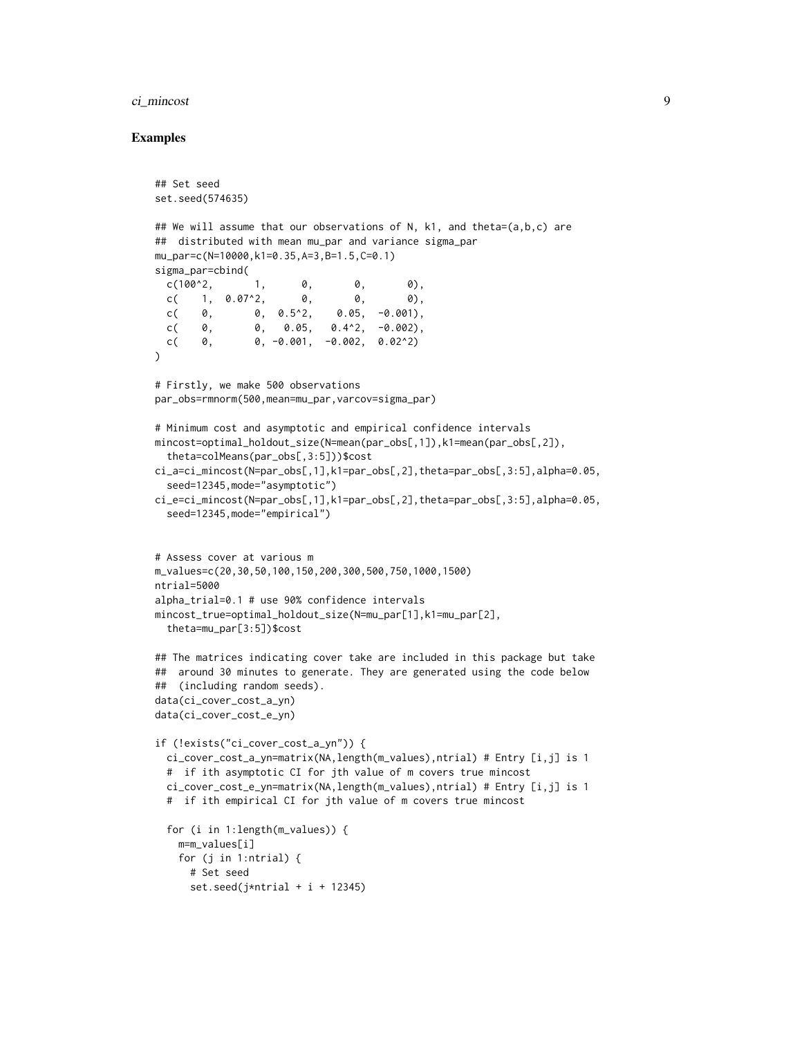#### ci\_mincost 9

```
## Set seed
set.seed(574635)
## We will assume that our observations of N, k1, and theta=(a,b,c) are
## distributed with mean mu_par and variance sigma_par
mu_par=c(N=10000,k1=0.35,A=3,B=1.5,C=0.1)
sigma_par=cbind(
 c(100^{\circ}2, 1, 0, 0, 0),c( 1, 0.07^2, 0, 0, 0, 0),
 c( 0, 0.5^2, 0.05, -0.001),
 c( 0, 0, 0.05, 0.4^2, -0.002),
 c( \theta, \theta, \theta, \theta, \theta, \theta, \theta, \theta, \theta, \theta, \theta, \theta, \theta, \theta, \theta, \theta, \theta)
\lambda# Firstly, we make 500 observations
par_obs=rmnorm(500,mean=mu_par,varcov=sigma_par)
# Minimum cost and asymptotic and empirical confidence intervals
mincost=optimal_holdout_size(N=mean(par_obs[,1]),k1=mean(par_obs[,2]),
 theta=colMeans(par_obs[,3:5]))$cost
ci_a=ci_mincost(N=par_obs[,1],k1=par_obs[,2],theta=par_obs[,3:5],alpha=0.05,
 seed=12345,mode="asymptotic")
ci_e=ci_mincost(N=par_obs[,1],k1=par_obs[,2],theta=par_obs[,3:5],alpha=0.05,
 seed=12345,mode="empirical")
# Assess cover at various m
m_values=c(20,30,50,100,150,200,300,500,750,1000,1500)
ntrial=5000
alpha_trial=0.1 # use 90% confidence intervals
mincost_true=optimal_holdout_size(N=mu_par[1],k1=mu_par[2],
  theta=mu_par[3:5])$cost
## The matrices indicating cover take are included in this package but take
## around 30 minutes to generate. They are generated using the code below
## (including random seeds).
data(ci_cover_cost_a_yn)
data(ci_cover_cost_e_yn)
if (!exists("ci_cover_cost_a_yn")) {
 ci_cover_cost_a_yn=matrix(NA,length(m_values),ntrial) # Entry [i,j] is 1
 # if ith asymptotic CI for jth value of m covers true mincost
 ci_cover_cost_e_yn=matrix(NA,length(m_values),ntrial) # Entry [i,j] is 1
 # if ith empirical CI for jth value of m covers true mincost
 for (i in 1:length(m_values)) {
   m=m_values[i]
    for (j in 1:ntrial) {
      # Set seed
      set.seed(j*ntrial + i + 12345)
```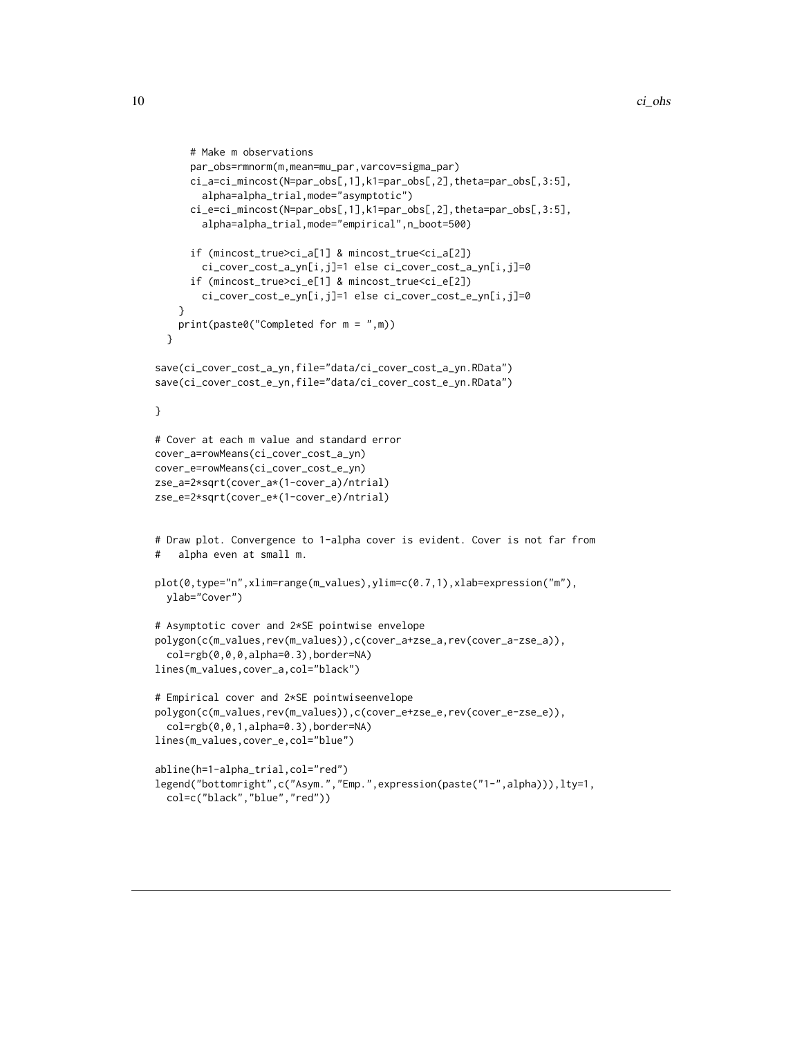```
# Make m observations
      par_obs=rmnorm(m,mean=mu_par,varcov=sigma_par)
     ci_a=ci_mincost(N=par_obs[,1],k1=par_obs[,2],theta=par_obs[,3:5],
       alpha=alpha_trial,mode="asymptotic")
      ci_e=ci_mincost(N=par_obs[,1],k1=par_obs[,2],theta=par_obs[,3:5],
       alpha=alpha_trial,mode="empirical",n_boot=500)
      if (mincost_true>ci_a[1] & mincost_true<ci_a[2])
       ci_cover_cost_a_yn[i,j]=1 else ci_cover_cost_a_yn[i,j]=0
      if (mincost_true>ci_e[1] & mincost_true<ci_e[2])
        ci_cover_cost_e_yn[i,j]=1 else ci_cover_cost_e_yn[i,j]=0
    }
   print(paste0("Completed for m = ",m))
 }
save(ci_cover_cost_a_yn,file="data/ci_cover_cost_a_yn.RData")
save(ci_cover_cost_e_yn,file="data/ci_cover_cost_e_yn.RData")
}
# Cover at each m value and standard error
cover_a=rowMeans(ci_cover_cost_a_yn)
cover_e=rowMeans(ci_cover_cost_e_yn)
zse_a=2*sqrt(cover_a*(1-cover_a)/ntrial)
zse_e=2*sqrt(cover_e*(1-cover_e)/ntrial)
# Draw plot. Convergence to 1-alpha cover is evident. Cover is not far from
# alpha even at small m.
plot(0,type="n",xlim=range(m_values),ylim=c(0.7,1),xlab=expression("m"),
 ylab="Cover")
# Asymptotic cover and 2*SE pointwise envelope
polygon(c(m_values,rev(m_values)),c(cover_a+zse_a,rev(cover_a-zse_a)),
 col=rgb(0,0,0,alpha=0.3),border=NA)
lines(m_values,cover_a,col="black")
# Empirical cover and 2*SE pointwiseenvelope
polygon(c(m_values,rev(m_values)),c(cover_e+zse_e,rev(cover_e-zse_e)),
  col=rgb(0,0,1,alpha=0.3),border=NA)
lines(m_values,cover_e,col="blue")
abline(h=1-alpha_trial,col="red")
legend("bottomright",c("Asym.","Emp.",expression(paste("1-",alpha))),lty=1,
 col=c("black","blue","red"))
```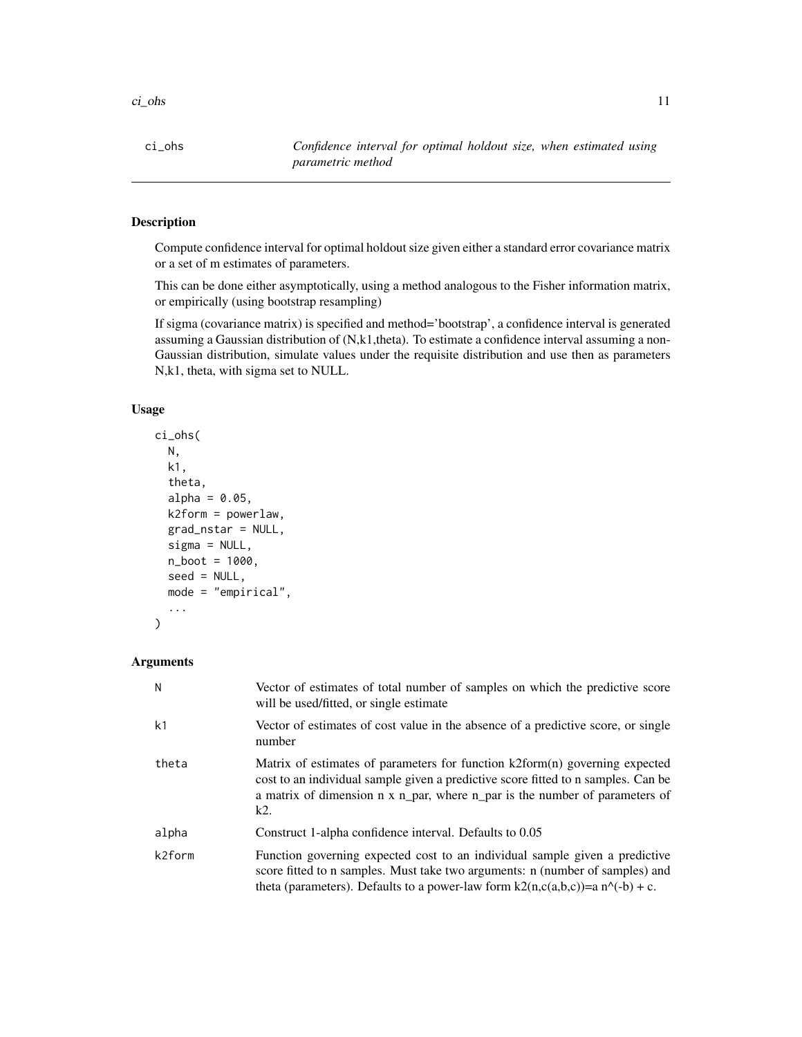<span id="page-10-0"></span>ci\_ohs *Confidence interval for optimal holdout size, when estimated using parametric method*

# Description

Compute confidence interval for optimal holdout size given either a standard error covariance matrix or a set of m estimates of parameters.

This can be done either asymptotically, using a method analogous to the Fisher information matrix, or empirically (using bootstrap resampling)

If sigma (covariance matrix) is specified and method='bootstrap', a confidence interval is generated assuming a Gaussian distribution of (N,k1,theta). To estimate a confidence interval assuming a non-Gaussian distribution, simulate values under the requisite distribution and use then as parameters N,k1, theta, with sigma set to NULL.

# Usage

```
ci_ohs(
 N,
  k1,
  theta,
  alpha = 0.05,
  k2form = powerlaw,
  grad_nstar = NULL,
  sigma = NULL,
  n_boot = 1000,
  seed = NULL,
  mode = "empirical",
  ...
)
```
# Arguments

| N              | Vector of estimates of total number of samples on which the predictive score<br>will be used/fitted, or single estimate                                                                                                                                |
|----------------|--------------------------------------------------------------------------------------------------------------------------------------------------------------------------------------------------------------------------------------------------------|
| k <sub>1</sub> | Vector of estimates of cost value in the absence of a predictive score, or single<br>number                                                                                                                                                            |
| theta          | Matrix of estimates of parameters for function k2form(n) governing expected<br>cost to an individual sample given a predictive score fitted to n samples. Can be<br>a matrix of dimension n x n_par, where n_par is the number of parameters of<br>k2. |
| alpha          | Construct 1-alpha confidence interval. Defaults to 0.05                                                                                                                                                                                                |
| k2form         | Function governing expected cost to an individual sample given a predictive<br>score fitted to n samples. Must take two arguments: n (number of samples) and<br>theta (parameters). Defaults to a power-law form $k2(n,c(a,b,c))=a n^(-b) + c$ .       |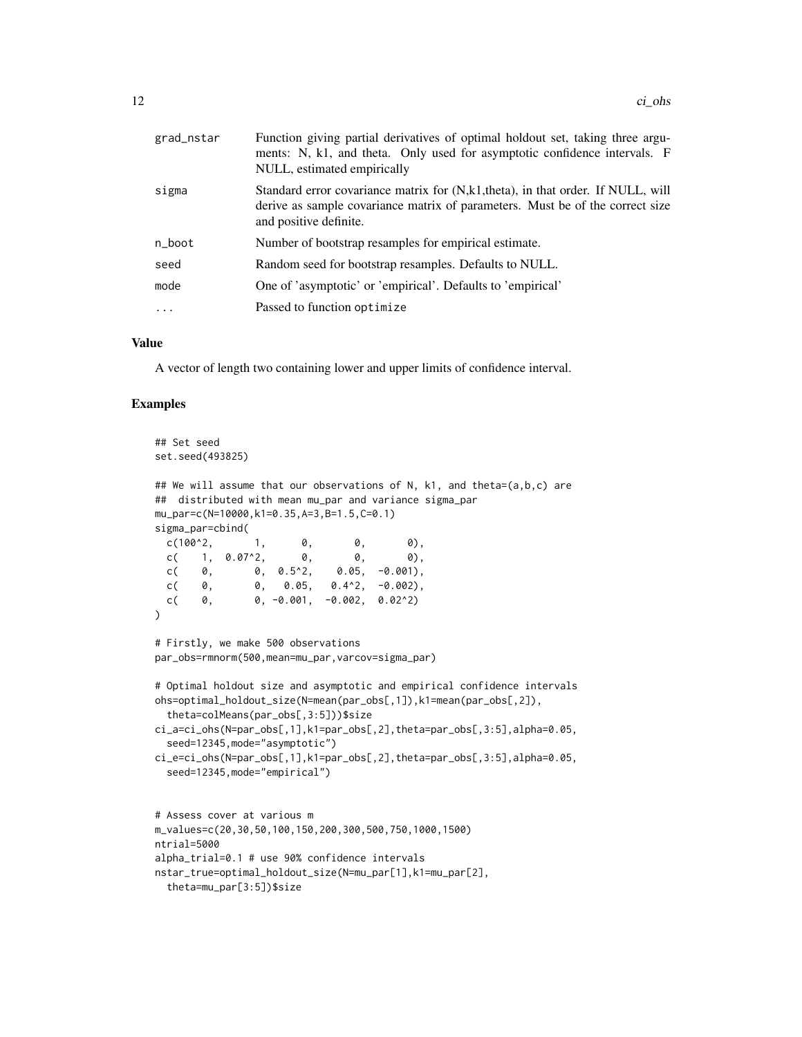| grad_nstar | Function giving partial derivatives of optimal holdout set, taking three argu-<br>ments: N, k1, and theta. Only used for asymptotic confidence intervals. F<br>NULL, estimated empirically  |
|------------|---------------------------------------------------------------------------------------------------------------------------------------------------------------------------------------------|
| sigma      | Standard error covariance matrix for (N,k1, theta), in that order. If NULL, will<br>derive as sample covariance matrix of parameters. Must be of the correct size<br>and positive definite. |
| n_boot     | Number of bootstrap resamples for empirical estimate.                                                                                                                                       |
| seed       | Random seed for bootstrap resamples. Defaults to NULL.                                                                                                                                      |
| mode       | One of 'asymptotic' or 'empirical'. Defaults to 'empirical'                                                                                                                                 |
| $\cdots$   | Passed to function optimize                                                                                                                                                                 |
|            |                                                                                                                                                                                             |

#### Value

A vector of length two containing lower and upper limits of confidence interval.

```
## Set seed
set.seed(493825)
## We will assume that our observations of N, k1, and theta=(a,b,c) are
## distributed with mean mu_par and variance sigma_par
mu_par=c(N=10000,k1=0.35,A=3,B=1.5,C=0.1)
sigma_par=cbind(
 c(100^2, 1, 0, 0, 0),
 c( 1, 0.07^2, 0, 0, 0, 0),
 c( 0, 0.5^2, 0.05, -0.001),
 c( 0, 0, 0.05, 0.4^2, -0.002),
 c( 0, 0, -0.001, -0.002, 0.02^2)\lambda# Firstly, we make 500 observations
par_obs=rmnorm(500,mean=mu_par,varcov=sigma_par)
# Optimal holdout size and asymptotic and empirical confidence intervals
ohs=optimal_holdout_size(N=mean(par_obs[,1]),k1=mean(par_obs[,2]),
 theta=colMeans(par_obs[,3:5]))$size
ci_a=ci_ohs(N=par_obs[,1],k1=par_obs[,2],theta=par_obs[,3:5],alpha=0.05,
 seed=12345,mode="asymptotic")
ci_e=ci_ohs(N=par_obs[,1],k1=par_obs[,2],theta=par_obs[,3:5],alpha=0.05,
 seed=12345,mode="empirical")
# Assess cover at various m
m_values=c(20,30,50,100,150,200,300,500,750,1000,1500)
ntrial=5000
alpha_trial=0.1 # use 90% confidence intervals
nstar_true=optimal_holdout_size(N=mu_par[1],k1=mu_par[2],
```
theta=mu\_par[3:5])\$size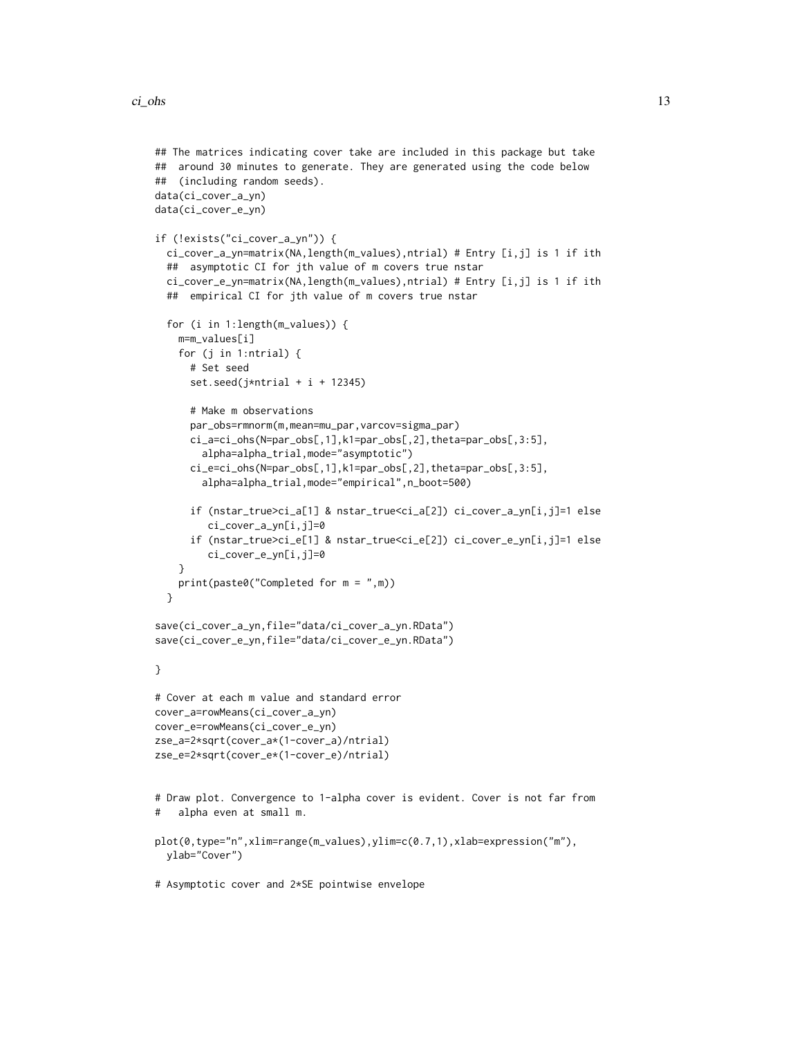```
## The matrices indicating cover take are included in this package but take
## around 30 minutes to generate. They are generated using the code below
## (including random seeds).
data(ci_cover_a_yn)
data(ci_cover_e_yn)
if (!exists("ci_cover_a_yn")) {
 ci_cover_a_yn=matrix(NA,length(m_values),ntrial) # Entry [i,j] is 1 if ith
 ## asymptotic CI for jth value of m covers true nstar
 ci_cover_e_yn=matrix(NA,length(m_values),ntrial) # Entry [i,j] is 1 if ith
 ## empirical CI for jth value of m covers true nstar
 for (i in 1:length(m_values)) {
    m=m_values[i]
    for (j in 1:ntrial) {
     # Set seed
     set.seed(j*ntrial + i + 12345)
      # Make m observations
     par_obs=rmnorm(m,mean=mu_par,varcov=sigma_par)
     ci_a=ci_ohs(N=par_obs[,1],k1=par_obs[,2],theta=par_obs[,3:5],
       alpha=alpha_trial,mode="asymptotic")
     ci_e=ci_ohs(N=par_obs[,1],k1=par_obs[,2],theta=par_obs[,3:5],
       alpha=alpha_trial,mode="empirical",n_boot=500)
      if (nstar_true>ci_a[1] & nstar_true<ci_a[2]) ci_cover_a_yn[i,j]=1 else
        ci_cover_a_yn[i,j]=0
     if (nstar_true>ci_e[1] & nstar_true<ci_e[2]) ci_cover_e_yn[i,j]=1 else
        ci_cover_e_yn[i,j]=0
    }
   print(paste0("Completed for m = ",m))
 }
save(ci_cover_a_yn,file="data/ci_cover_a_yn.RData")
save(ci_cover_e_yn,file="data/ci_cover_e_yn.RData")
}
# Cover at each m value and standard error
cover_a=rowMeans(ci_cover_a_yn)
cover_e=rowMeans(ci_cover_e_yn)
zse_a=2*sqrt(cover_a*(1-cover_a)/ntrial)
zse_e=2*sqrt(cover_e*(1-cover_e)/ntrial)
# Draw plot. Convergence to 1-alpha cover is evident. Cover is not far from
# alpha even at small m.
plot(0,type="n",xlim=range(m_values),ylim=c(0.7,1),xlab=expression("m"),
 ylab="Cover")
# Asymptotic cover and 2*SE pointwise envelope
```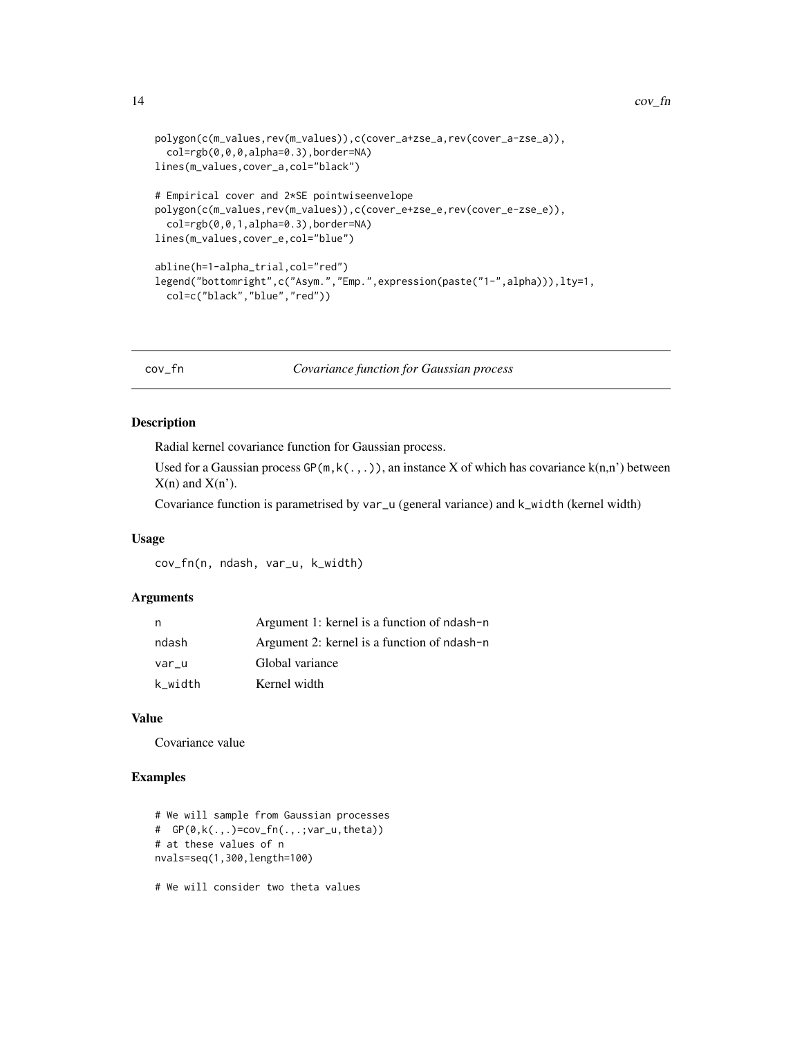```
polygon(c(m_values,rev(m_values)),c(cover_a+zse_a,rev(cover_a-zse_a)),
  col=rgb(0,0,0,alpha=0.3),border=NA)
lines(m_values,cover_a,col="black")
# Empirical cover and 2*SE pointwiseenvelope
polygon(c(m_values,rev(m_values)),c(cover_e+zse_e,rev(cover_e-zse_e)),
  col=rgb(0,0,1,alpha=0.3),border=NA)
lines(m_values,cover_e,col="blue")
abline(h=1-alpha_trial,col="red")
legend("bottomright",c("Asym.","Emp.",expression(paste("1-",alpha))),lty=1,
  col=c("black","blue","red"))
```
cov\_fn *Covariance function for Gaussian process*

#### Description

Radial kernel covariance function for Gaussian process.

Used for a Gaussian process  $GP(m, k(., .))$ , an instance X of which has covariance  $k(n,n')$  between  $X(n)$  and  $X(n')$ .

Covariance function is parametrised by var\_u (general variance) and k\_width (kernel width)

# Usage

cov\_fn(n, ndash, var\_u, k\_width)

#### Arguments

| n       | Argument 1: kernel is a function of ndash-n |
|---------|---------------------------------------------|
| ndash   | Argument 2: kernel is a function of ndash-n |
| var u   | Global variance                             |
| k width | Kernel width                                |

#### Value

Covariance value

#### Examples

```
# We will sample from Gaussian processes
# GP(0,k(.,.)=cov_fn(.,.;var_u,theta))
# at these values of n
nvals=seq(1,300,length=100)
```
# We will consider two theta values

<span id="page-13-0"></span>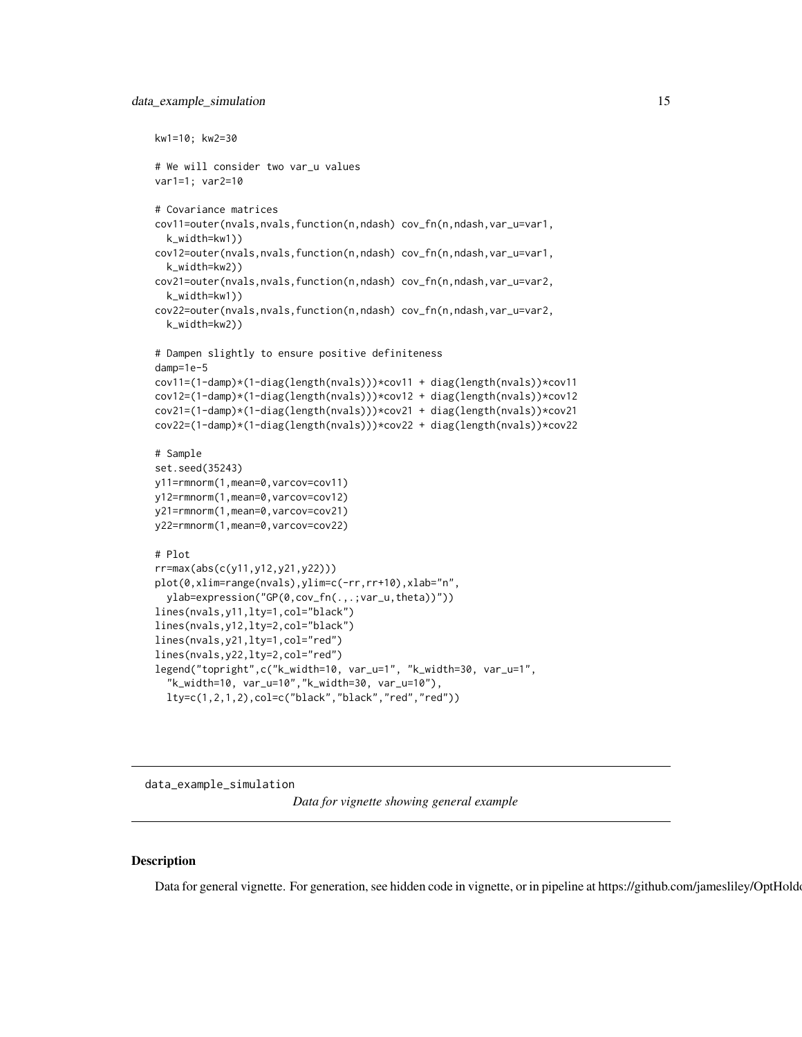```
kw1=10; kw2=30
# We will consider two var_u values
var1=1; var2=10
# Covariance matrices
cov11=outer(nvals,nvals,function(n,ndash) cov_fn(n,ndash,var_u=var1,
  k_width=kw1))
cov12=outer(nvals,nvals,function(n,ndash) cov_fn(n,ndash,var_u=var1,
  k_width=kw2))
cov21=outer(nvals,nvals,function(n,ndash) cov_fn(n,ndash,var_u=var2,
  k_width=kw1))
cov22=outer(nvals,nvals,function(n,ndash) cov_fn(n,ndash,var_u=var2,
  k_width=kw2))
# Dampen slightly to ensure positive definiteness
damp=1e-5
cov11=(1-damp)*(1-diag(length(nvals)))*cov11 + diag(length(nvals))*cov11
cov12=(1-damp)*(1-diag(length(nvals)))*cov12 + diag(length(nvals))*cov12
cov21=(1-damp)*(1-diag(length(nvals)))*cov21 + diag(length(nvals))*cov21
cov22=(1-damp)*(1-diag(length(nvals)))*cov22 + diag(length(nvals))*cov22
# Sample
set.seed(35243)
y11=rmnorm(1,mean=0,varcov=cov11)
y12=rmnorm(1,mean=0,varcov=cov12)
y21=rmnorm(1,mean=0,varcov=cov21)
y22=rmnorm(1,mean=0,varcov=cov22)
# Plot
rr=max(abs(c(y11,y12,y21,y22)))
plot(0,xlim=range(nvals),ylim=c(-rr,rr+10),xlab="n",
  ylab=expression("GP(0,cov_fn(.,.;var_u,theta))"))
lines(nvals,y11,lty=1,col="black")
lines(nvals,y12,lty=2,col="black")
lines(nvals,y21,lty=1,col="red")
lines(nvals,y22,lty=2,col="red")
legend("topright",c("k_width=10, var_u=1", "k_width=30, var_u=1",
  "k_width=10, var_u=10","k_width=30, var_u=10"),
  lty=c(1,2,1,2),col=c("black","black","red","red"))
```
data\_example\_simulation

*Data for vignette showing general example*

#### **Description**

Data for general vignette. For generation, see hidden code in vignette, or in pipeline at https://github.com/jamesliley/OptHoldout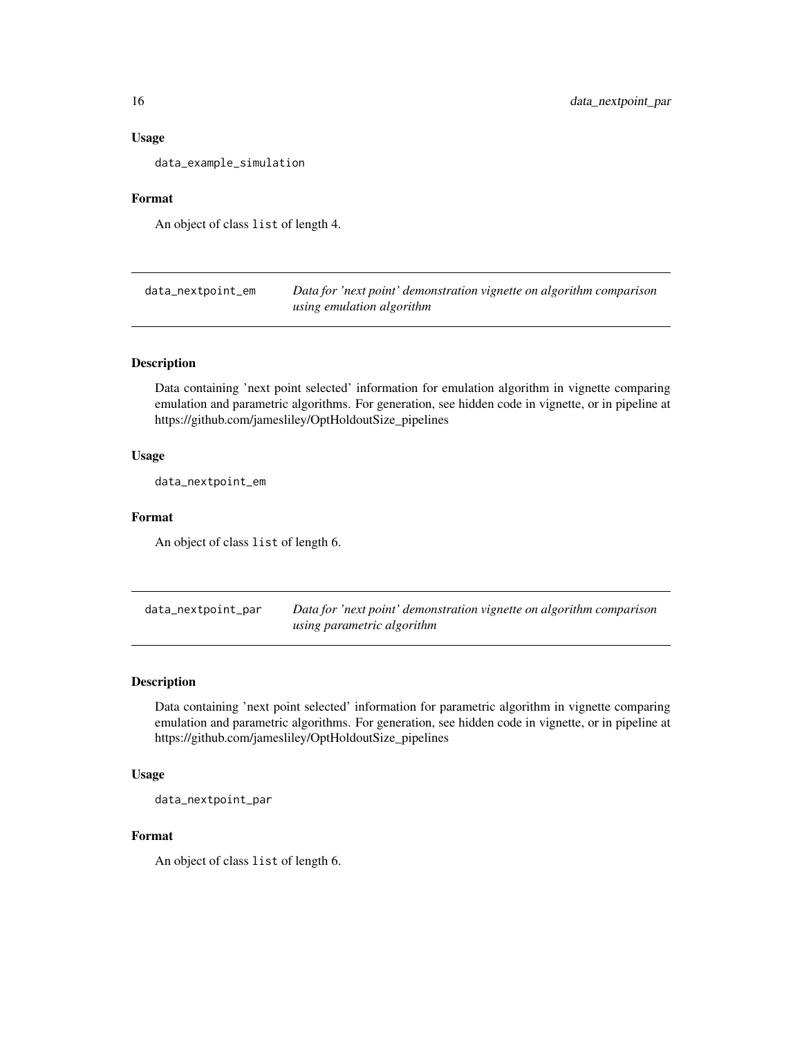#### Usage

data\_example\_simulation

#### Format

An object of class list of length 4.

data\_nextpoint\_em *Data for 'next point' demonstration vignette on algorithm comparison using emulation algorithm*

#### Description

Data containing 'next point selected' information for emulation algorithm in vignette comparing emulation and parametric algorithms. For generation, see hidden code in vignette, or in pipeline at https://github.com/jamesliley/OptHoldoutSize\_pipelines

#### Usage

data\_nextpoint\_em

# Format

An object of class list of length 6.

data\_nextpoint\_par *Data for 'next point' demonstration vignette on algorithm comparison using parametric algorithm*

#### Description

Data containing 'next point selected' information for parametric algorithm in vignette comparing emulation and parametric algorithms. For generation, see hidden code in vignette, or in pipeline at https://github.com/jamesliley/OptHoldoutSize\_pipelines

#### Usage

data\_nextpoint\_par

#### Format

An object of class list of length 6.

<span id="page-15-0"></span>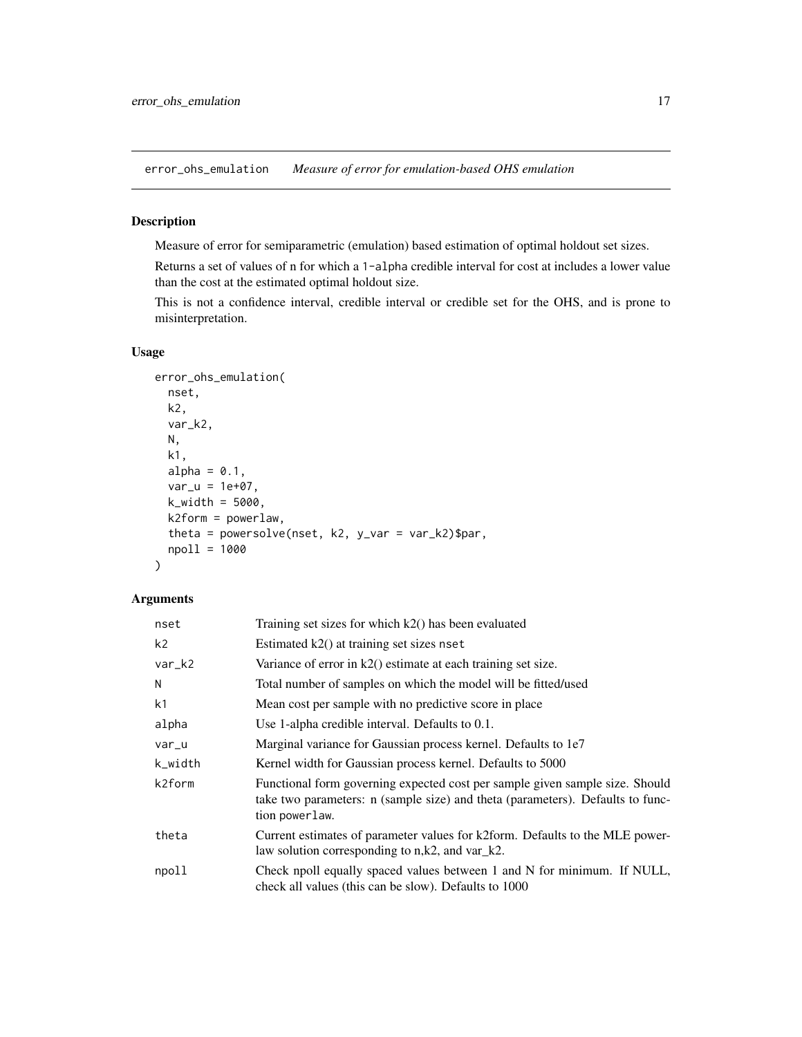<span id="page-16-0"></span>error\_ohs\_emulation *Measure of error for emulation-based OHS emulation*

#### Description

Measure of error for semiparametric (emulation) based estimation of optimal holdout set sizes.

Returns a set of values of n for which a 1-alpha credible interval for cost at includes a lower value than the cost at the estimated optimal holdout size.

This is not a confidence interval, credible interval or credible set for the OHS, and is prone to misinterpretation.

# Usage

```
error_ohs_emulation(
  nset,
  k2,
  var_k2,
 N,
  k1,
  alpha = 0.1,
  var_u = 1e+07,
  k_width = 5000,k2form = powerlaw,
  theta = powersolve(nset, k2, y_{\text{v}}ar = var_k2)$par,
  npoll = 1000
)
```
# Arguments

| nset           | Training set sizes for which $k2()$ has been evaluated                                                                                                                           |
|----------------|----------------------------------------------------------------------------------------------------------------------------------------------------------------------------------|
| k <sub>2</sub> | Estimated $k2()$ at training set sizes nset                                                                                                                                      |
| var_k2         | Variance of error in $k2()$ estimate at each training set size.                                                                                                                  |
| N              | Total number of samples on which the model will be fitted/used                                                                                                                   |
| k1             | Mean cost per sample with no predictive score in place.                                                                                                                          |
| alpha          | Use 1-alpha credible interval. Defaults to 0.1.                                                                                                                                  |
| var_u          | Marginal variance for Gaussian process kernel. Defaults to 1e7                                                                                                                   |
| k_width        | Kernel width for Gaussian process kernel. Defaults to 5000                                                                                                                       |
| k2form         | Functional form governing expected cost per sample given sample size. Should<br>take two parameters: n (sample size) and theta (parameters). Defaults to func-<br>tion powerlaw. |
| theta          | Current estimates of parameter values for k2form. Defaults to the MLE power-<br>law solution corresponding to $n, k2$ , and $var_k 2$ .                                          |
| npoll          | Check npoll equally spaced values between 1 and N for minimum. If NULL,<br>check all values (this can be slow). Defaults to 1000                                                 |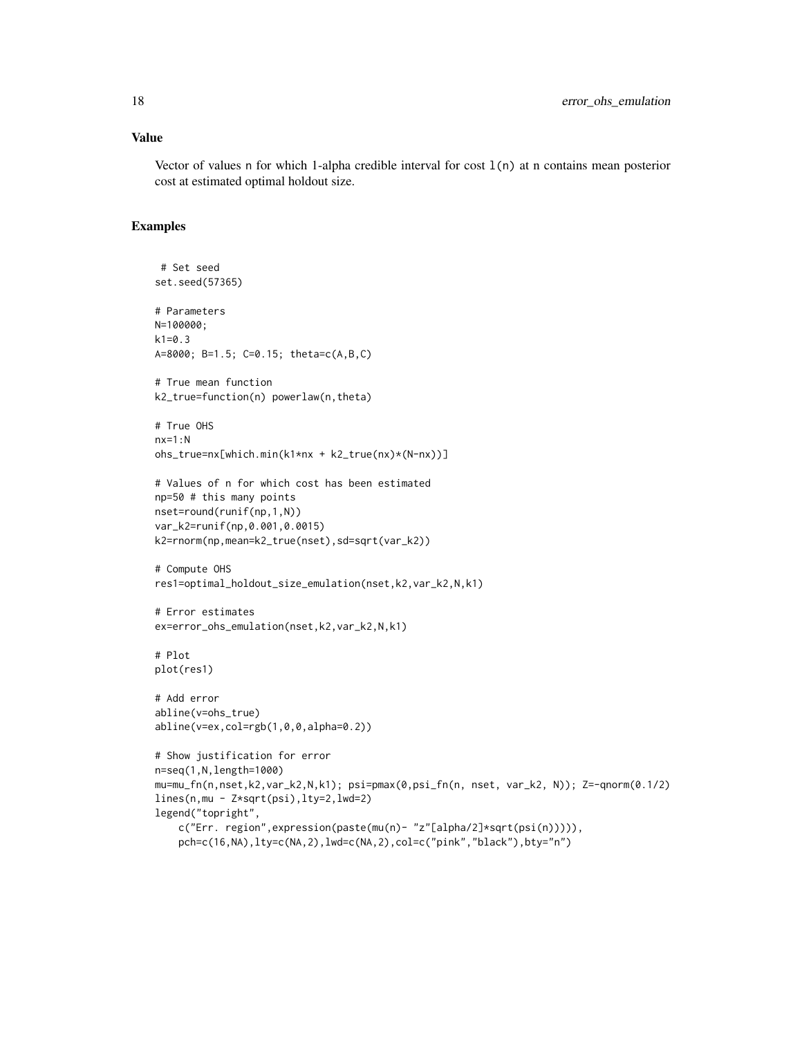#### Value

Vector of values n for which 1-alpha credible interval for cost  $1(n)$  at n contains mean posterior cost at estimated optimal holdout size.

```
# Set seed
set.seed(57365)
# Parameters
N=100000;
k1=0.3
A=8000; B=1.5; C=0.15; theta=c(A,B,C)
# True mean function
k2_true=function(n) powerlaw(n,theta)
# True OHS
nx=1:Nohs_true=nx[which.min(k1*nx + k2_true(nx)*(N-nx))]
# Values of n for which cost has been estimated
np=50 # this many points
nset=round(runif(np,1,N))
var_k2=runif(np,0.001,0.0015)
k2=rnorm(np,mean=k2_true(nset),sd=sqrt(var_k2))
# Compute OHS
res1=optimal_holdout_size_emulation(nset,k2,var_k2,N,k1)
# Error estimates
ex=error_ohs_emulation(nset,k2,var_k2,N,k1)
# Plot
plot(res1)
# Add error
abline(v=ohs_true)
abline(v=ex,col=rgb(1,0,0,alpha=0.2))
# Show justification for error
n=seq(1,N,length=1000)
mu=mu_fn(n,nset,k2,var_k2,N,k1); psi=pmax(0,psi_fn(n, nset, var_k2, N)); Z=-qnorm(0.1/2)
lines(n,mu - Z*sqrt(psi),lty=2,lwd=2)
legend("topright",
    c("Err. region",expression(paste(mu(n)- "z"[alpha/2]*sqrt(psi(n))))),
    pch=c(16,NA),lty=c(NA,2),lwd=c(NA,2),col=c("pink","black"),bty="n")
```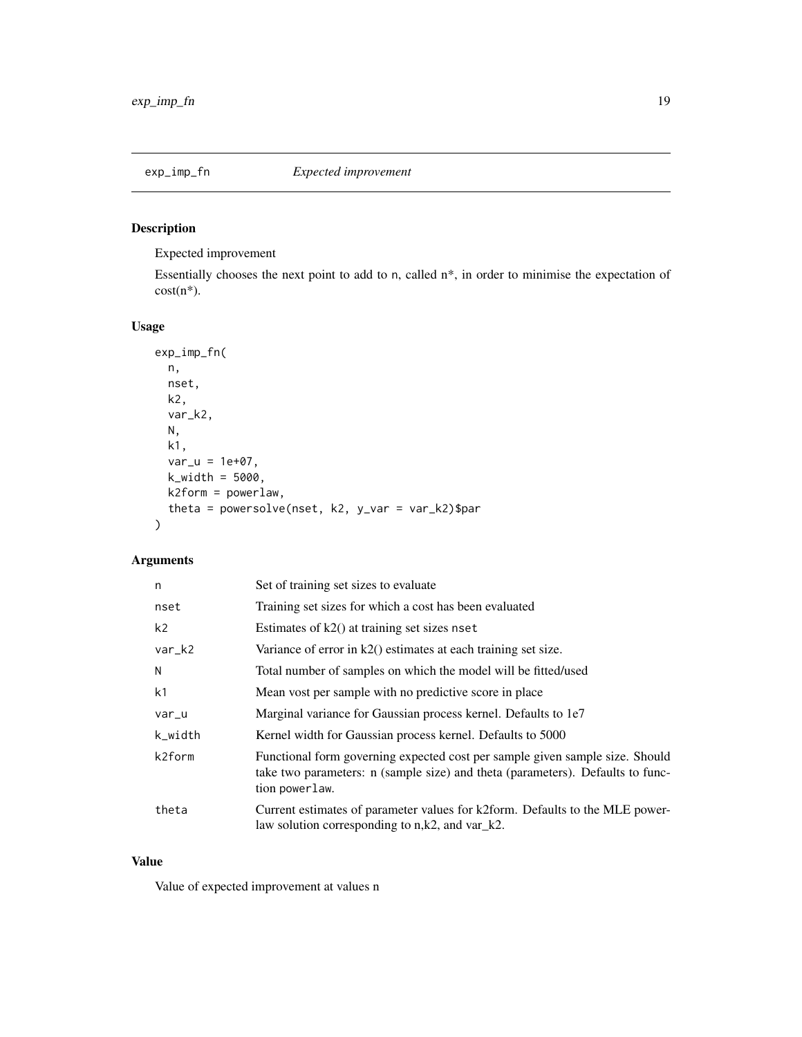<span id="page-18-0"></span>

# Description

Expected improvement

Essentially chooses the next point to add to n, called n\*, in order to minimise the expectation of  $cost(n^*)$ .

# Usage

```
exp_imp_fn(
 n,
 nset,
 k2,
  var_k2,
 N,
 k1,
 var_u = 1e+07,
 k_width = 5000,
 k2form = powerlaw,
  theta = powersolve(nset, k2, y_var = var_k2)$par
)
```
# Arguments

| n              | Set of training set sizes to evaluate                                                                                                                                            |
|----------------|----------------------------------------------------------------------------------------------------------------------------------------------------------------------------------|
| nset           | Training set sizes for which a cost has been evaluated                                                                                                                           |
| k <sub>2</sub> | Estimates of $k2()$ at training set sizes nset                                                                                                                                   |
| var_k2         | Variance of error in $k2()$ estimates at each training set size.                                                                                                                 |
| N              | Total number of samples on which the model will be fitted/used                                                                                                                   |
| k <sub>1</sub> | Mean vost per sample with no predictive score in place.                                                                                                                          |
| var_u          | Marginal variance for Gaussian process kernel. Defaults to 1e7                                                                                                                   |
| k_width        | Kernel width for Gaussian process kernel. Defaults to 5000                                                                                                                       |
| k2form         | Functional form governing expected cost per sample given sample size. Should<br>take two parameters: n (sample size) and theta (parameters). Defaults to func-<br>tion powerlaw. |
| theta          | Current estimates of parameter values for k2form. Defaults to the MLE power-<br>law solution corresponding to $n, k2$ , and $var_k2$ .                                           |

#### Value

Value of expected improvement at values n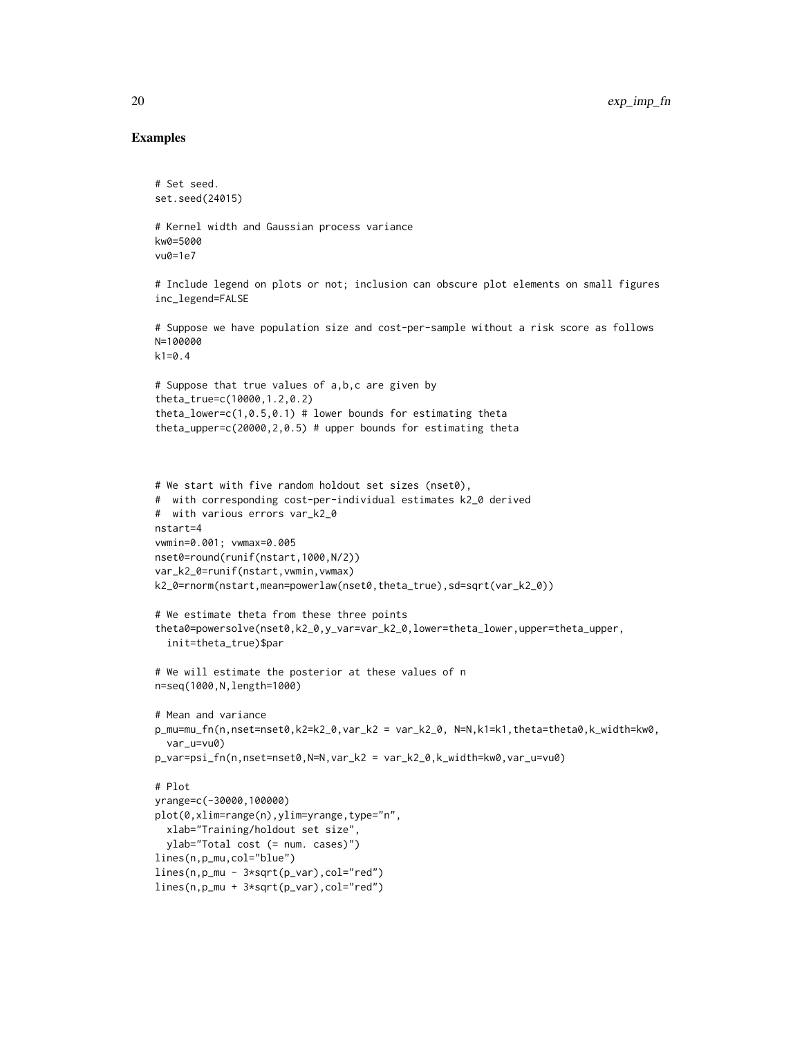```
# Set seed.
set.seed(24015)
# Kernel width and Gaussian process variance
kw0=5000
vu0=1e7
# Include legend on plots or not; inclusion can obscure plot elements on small figures
inc_legend=FALSE
# Suppose we have population size and cost-per-sample without a risk score as follows
N=100000
k1=0.4# Suppose that true values of a,b,c are given by
theta_true=c(10000,1.2,0.2)
theta_lower=c(1, 0.5, 0.1) # lower bounds for estimating theta
theta_upper=c(20000,2,0.5) # upper bounds for estimating theta
# We start with five random holdout set sizes (nset0),
# with corresponding cost-per-individual estimates k2_0 derived
# with various errors var_k2_0
nstart=4
vwmin=0.001; vwmax=0.005
nset0=round(runif(nstart,1000,N/2))
var_k2_0=runif(nstart,vwmin,vwmax)
k2_0=rnorm(nstart,mean=powerlaw(nset0,theta_true),sd=sqrt(var_k2_0))
# We estimate theta from these three points
theta0=powersolve(nset0,k2_0,y_var=var_k2_0,lower=theta_lower,upper=theta_upper,
  init=theta_true)$par
# We will estimate the posterior at these values of n
n=seq(1000,N,length=1000)
# Mean and variance
p_mu=mu_fn(n,nset=nset0,k2=k2_0,var_k2 = var_k2_0, N=N,k1=k1,theta=theta0,k_width=kw0,
  var_u=vu0)
p_var=psi_fn(n,nset=nset0,N=N,var_k2 = var_k2_0,k_width=kw0,var_u=vu0)
# Plot
yrange=c(-30000,100000)
plot(0,xlim=range(n),ylim=yrange,type="n",
  xlab="Training/holdout set size",
  ylab="Total cost (= num. cases)")
lines(n,p_mu,col="blue")
lines(n,p_mu - 3*sqrt(p_var),col="red")
lines(n,p_mu + 3*sqrt(p_var),col="red")
```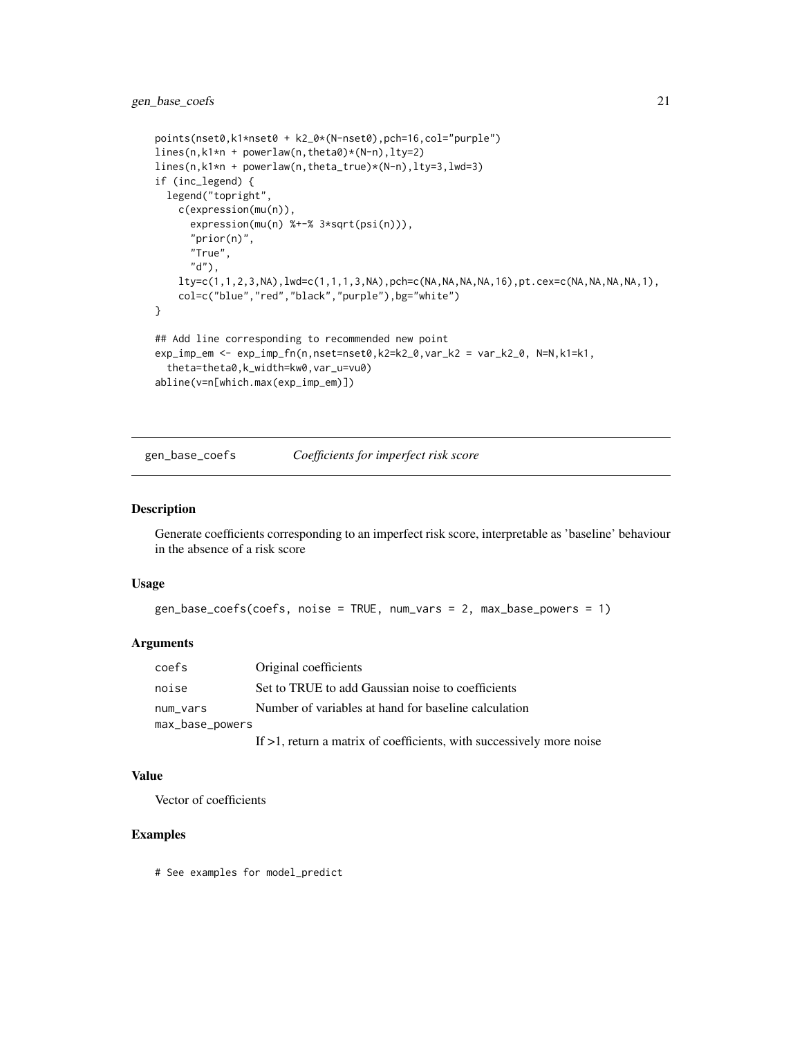# <span id="page-20-0"></span>gen\_base\_coefs 21

```
points(nset0,k1*nset0 + k2_0*(N-nset0),pch=16,col="purple")
lines(n,k1*n + powerlaw(n,theta0)*(N-n),lty=2)
lines(n,k1*n + powerlaw(n,theta_true)*(N-n),lty=3,lwd=3)
if (inc_legend) {
  legend("topright",
   c(expression(mu(n)),
      expression(mu(n) %+-% 3*sqrt(psi(n))),
      "prior(n)",
      "True",
      "d"),
    lty=c(1,1,2,3,NA),lwd=c(1,1,1,3,NA),pch=c(NA,NA,NA,NA,16),pt.cex=c(NA,NA,NA,NA,1),
    col=c("blue","red","black","purple"),bg="white")
}
## Add line corresponding to recommended new point
exp_imp_em <- exp_imp_fn(n,nset=nset0,k2=k2_0,var_k2 = var_k2_0, N=N,k1=k1,
  theta=theta0,k_width=kw0,var_u=vu0)
abline(v=n[which.max(exp_imp_em)])
```
gen\_base\_coefs *Coefficients for imperfect risk score*

#### Description

Generate coefficients corresponding to an imperfect risk score, interpretable as 'baseline' behaviour in the absence of a risk score

#### Usage

```
gen_base_coefs(coefs, noise = TRUE, num_vars = 2, max_base_powers = 1)
```
#### Arguments

| coefs           | Original coefficients                                           |
|-----------------|-----------------------------------------------------------------|
| noise           | Set to TRUE to add Gaussian noise to coefficients               |
| num vars        | Number of variables at hand for baseline calculation            |
| max_base_powers |                                                                 |
|                 | If $\leq 1$ notive a matrix of coofficients with successively m |

# If >1, return a matrix of coefficients, with successively more noise

# Value

Vector of coefficients

# Examples

# See examples for model\_predict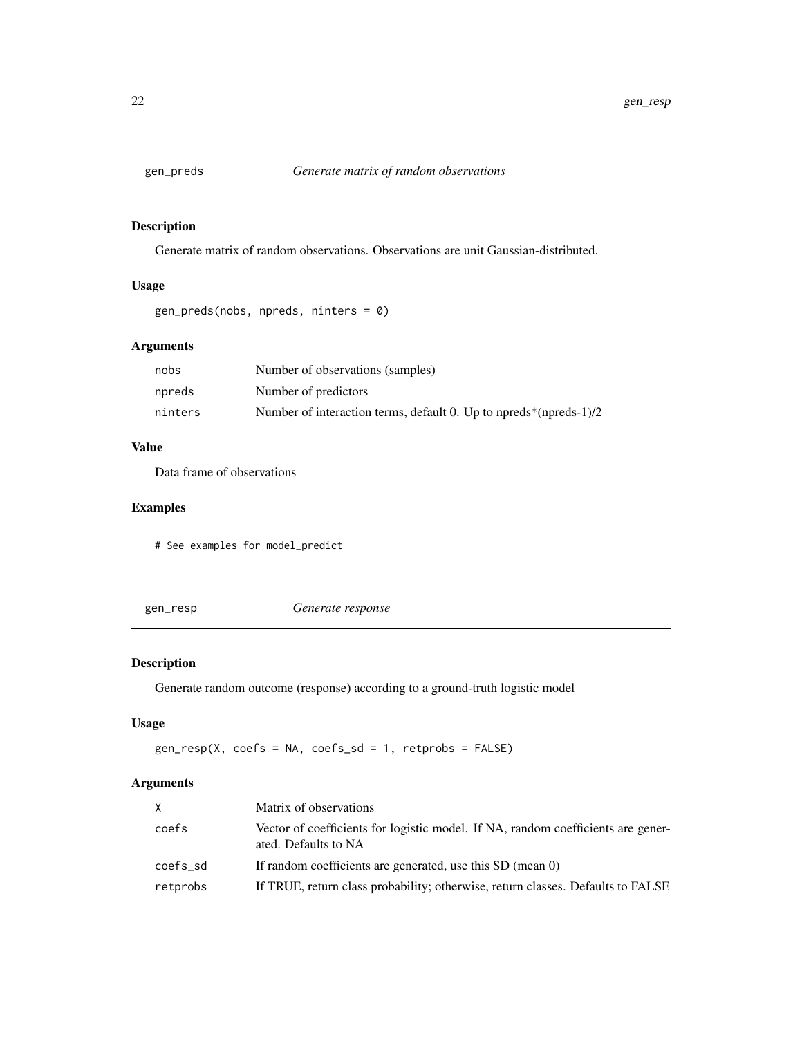<span id="page-21-0"></span>

# Description

Generate matrix of random observations. Observations are unit Gaussian-distributed.

# Usage

```
gen_preds(nobs, npreds, ninters = 0)
```
# Arguments

| nobs    | Number of observations (samples)                                  |
|---------|-------------------------------------------------------------------|
| npreds  | Number of predictors                                              |
| ninters | Number of interaction terms, default 0. Up to npreds*(npreds-1)/2 |

# Value

Data frame of observations

# Examples

# See examples for model\_predict

gen\_resp *Generate response*

# Description

Generate random outcome (response) according to a ground-truth logistic model

# Usage

gen\_resp(X, coefs = NA, coefs\_sd = 1, retprobs = FALSE)

# Arguments

| X        | Matrix of observations                                                                                   |
|----------|----------------------------------------------------------------------------------------------------------|
| coefs    | Vector of coefficients for logistic model. If NA, random coefficients are gener-<br>ated. Defaults to NA |
| coefs_sd | If random coefficients are generated, use this SD (mean 0)                                               |
| retprobs | If TRUE, return class probability; otherwise, return classes. Defaults to FALSE                          |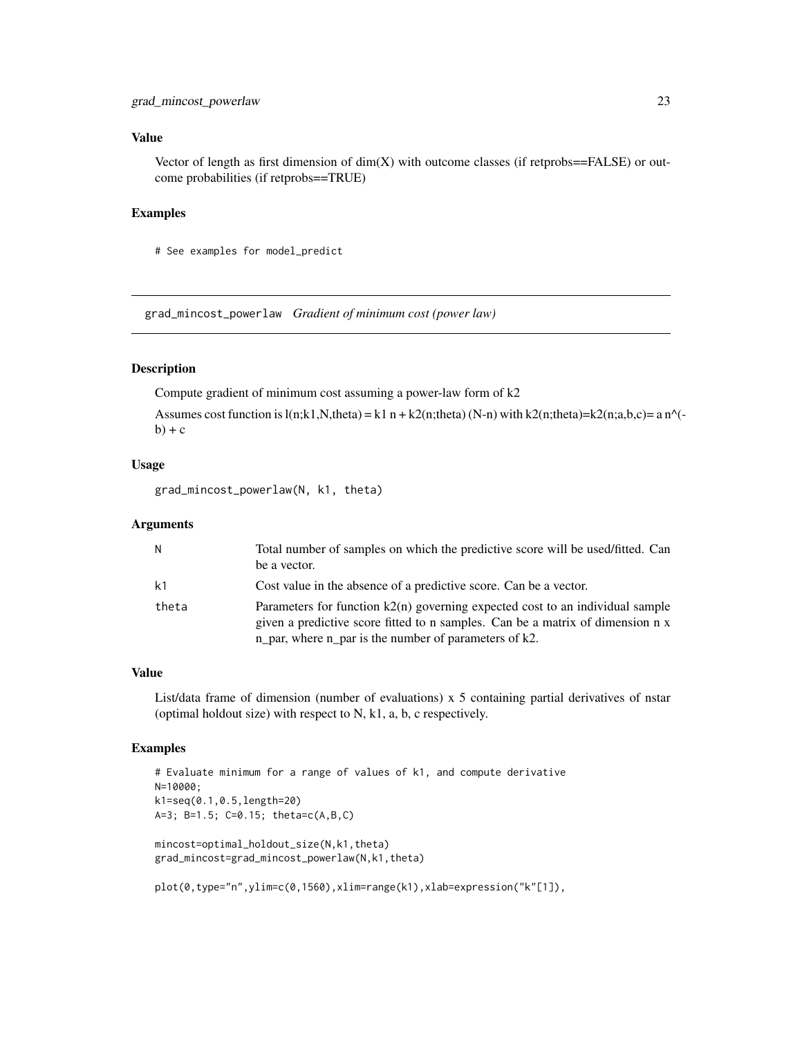#### <span id="page-22-0"></span>Value

Vector of length as first dimension of  $dim(X)$  with outcome classes (if retprobs==FALSE) or outcome probabilities (if retprobs==TRUE)

#### Examples

# See examples for model\_predict

grad\_mincost\_powerlaw *Gradient of minimum cost (power law)*

# Description

Compute gradient of minimum cost assuming a power-law form of k2

Assumes cost function is  $l(n;k1,N,theta) = k1 n + k2(n;theta)$  (N-n) with k2(n;theta)=k2(n;a,b,c)= a n^( $b) + c$ 

#### Usage

grad\_mincost\_powerlaw(N, k1, theta)

#### **Arguments**

| N.    | Total number of samples on which the predictive score will be used/fitted. Can<br>be a vector.                                                                                                                                |
|-------|-------------------------------------------------------------------------------------------------------------------------------------------------------------------------------------------------------------------------------|
| k1    | Cost value in the absence of a predictive score. Can be a vector.                                                                                                                                                             |
| theta | Parameters for function $k2(n)$ governing expected cost to an individual sample<br>given a predictive score fitted to n samples. Can be a matrix of dimension n x<br>n_par, where $n$ _par is the number of parameters of k2. |

# Value

List/data frame of dimension (number of evaluations) x 5 containing partial derivatives of nstar (optimal holdout size) with respect to N, k1, a, b, c respectively.

```
# Evaluate minimum for a range of values of k1, and compute derivative
N=10000;
k1=seq(0.1,0.5,length=20)
A=3; B=1.5; C=0.15; theta=c(A,B,C)
mincost=optimal_holdout_size(N,k1,theta)
grad_mincost=grad_mincost_powerlaw(N,k1,theta)
plot(0,type="n",ylim=c(0,1560),xlim=range(k1),xlab=expression("k"[1]),
```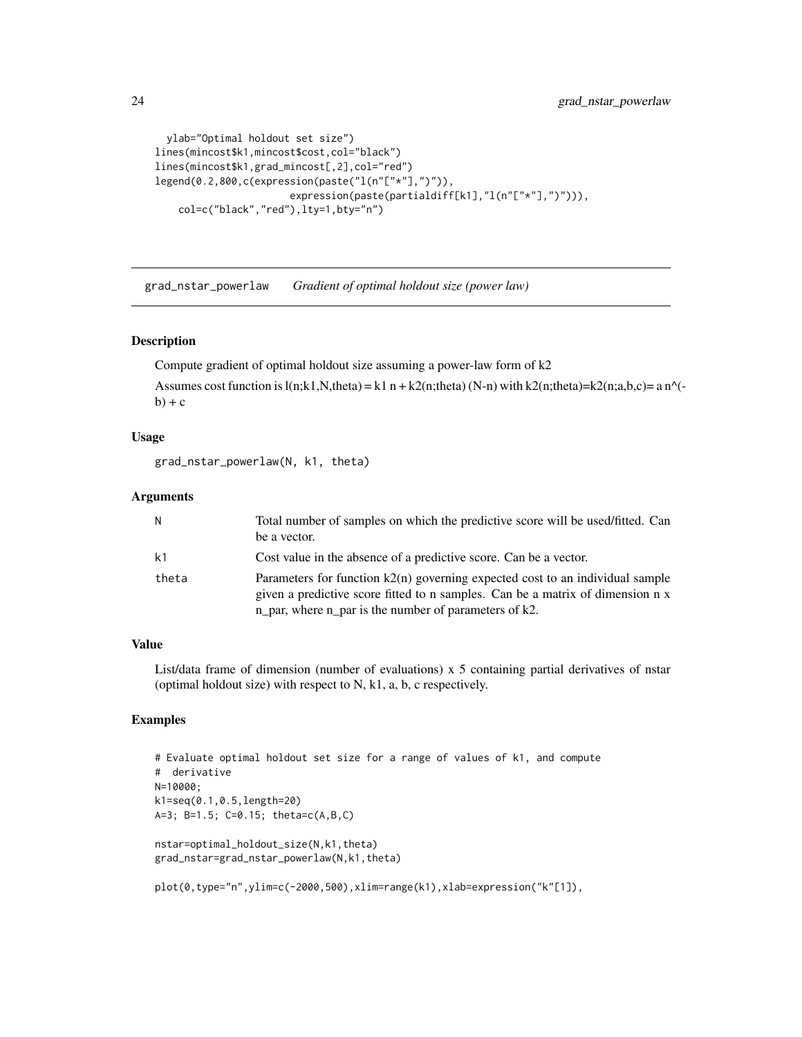```
ylab="Optimal holdout set size")
lines(mincost$k1,mincost$cost,col="black")
lines(mincost$k1,grad_mincost[,2],col="red")
legend(0.2,800,c(expression(paste("l(n"["*"],")")),
                       expression(paste(partialdiff[k1],"l(n"["*"],")"))),
    col=c("black","red"),lty=1,bty="n")
```
grad\_nstar\_powerlaw *Gradient of optimal holdout size (power law)*

#### Description

Compute gradient of optimal holdout size assuming a power-law form of k2

Assumes cost function is  $l(n;k1,N,theta) = k1 n + k2(n;theta)$  (N-n) with k2(n;theta)=k2(n;a,b,c)= a n^( $b) + c$ 

#### Usage

grad\_nstar\_powerlaw(N, k1, theta)

#### Arguments

| N              | Total number of samples on which the predictive score will be used/fitted. Can<br>be a vector.                                                                                                                                 |
|----------------|--------------------------------------------------------------------------------------------------------------------------------------------------------------------------------------------------------------------------------|
| k <sub>1</sub> | Cost value in the absence of a predictive score. Can be a vector.                                                                                                                                                              |
| theta          | Parameters for function $k(2n)$ governing expected cost to an individual sample<br>given a predictive score fitted to n samples. Can be a matrix of dimension n x<br>$n$ par, where $n$ par is the number of parameters of k2. |

# Value

List/data frame of dimension (number of evaluations) x 5 containing partial derivatives of nstar (optimal holdout size) with respect to N, k1, a, b, c respectively.

```
# Evaluate optimal holdout set size for a range of values of k1, and compute
# derivative
N=10000;
k1=seq(0.1,0.5,length=20)
A=3; B=1.5; C=0.15; theta=c(A,B,C)
nstar=optimal_holdout_size(N,k1,theta)
grad_nstar=grad_nstar_powerlaw(N,k1,theta)
plot(0,type="n",ylim=c(-2000,500),xlim=range(k1),xlab=expression("k"[1]),
```
<span id="page-23-0"></span>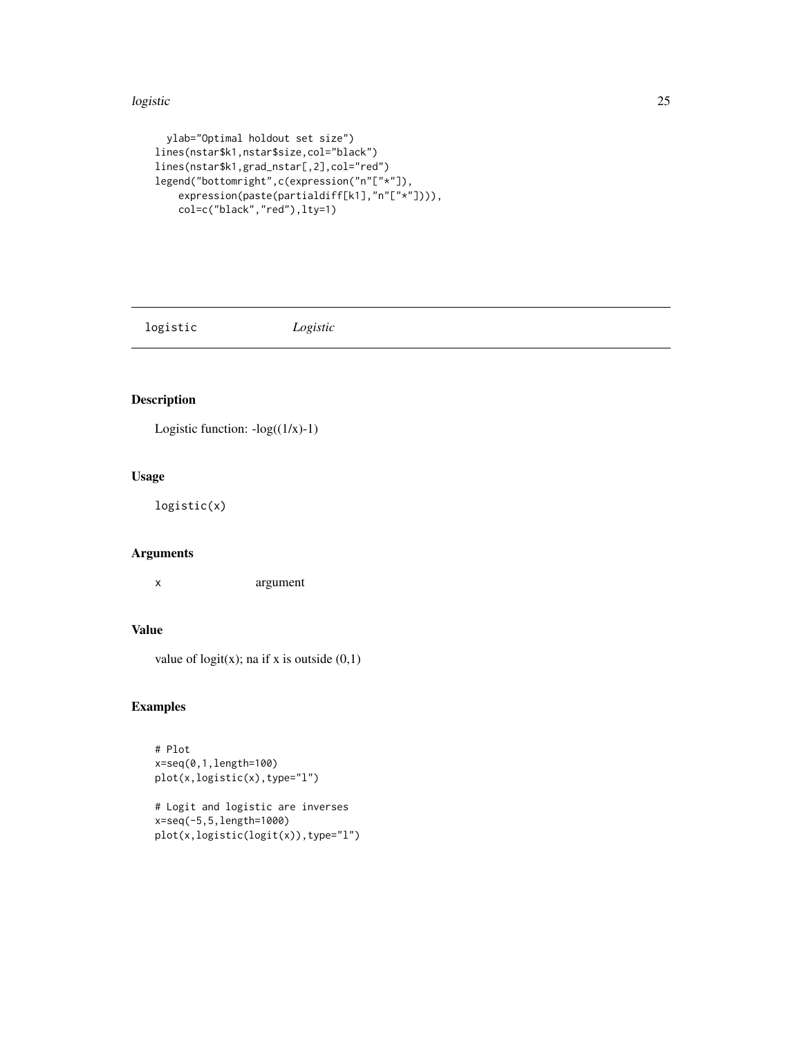#### <span id="page-24-0"></span>logistic 25

```
ylab="Optimal holdout set size")
lines(nstar$k1,nstar$size,col="black")
lines(nstar$k1,grad_nstar[,2],col="red")
legend("bottomright",c(expression("n"["*"]),
   expression(paste(partialdiff[k1],"n"["*"]))),
   col=c("black","red"),lty=1)
```
logistic *Logistic*

# Description

Logistic function:  $-log((1/x)-1)$ 

# Usage

logistic(x)

# Arguments

x argument

# Value

value of  $logit(x)$ ; na if x is outside  $(0,1)$ 

```
# Plot
x=seq(0,1,length=100)
plot(x,logistic(x),type="l")
# Logit and logistic are inverses
```

```
x=seq(-5,5,length=1000)
plot(x,logistic(logit(x)),type="l")
```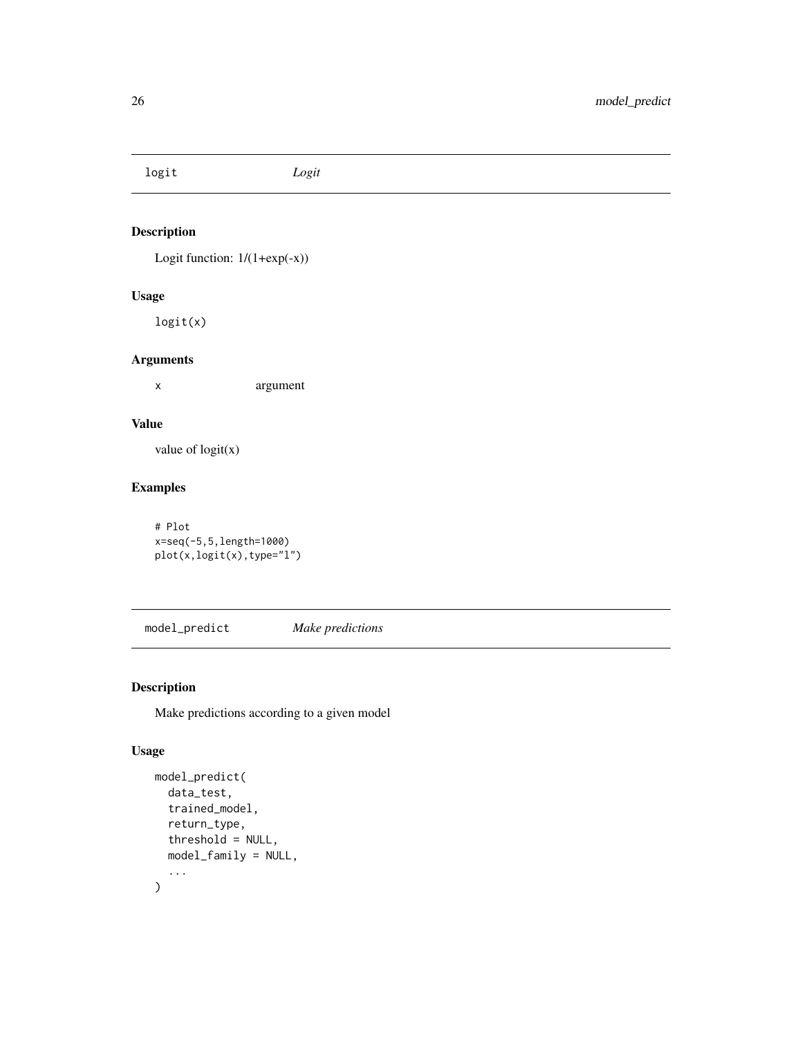<span id="page-25-0"></span>logit *Logit*

# Description

Logit function:  $1/(1+exp(-x))$ 

# Usage

logit(x)

# Arguments

x argument

# Value

value of  $logit(x)$ 

# Examples

# Plot x=seq(-5,5,length=1000) plot(x,logit(x),type="l")

model\_predict *Make predictions*

# Description

Make predictions according to a given model

# Usage

```
model_predict(
  data_test,
  trained_model,
  return_type,
  threshold = NULL,
  model_family = NULL,
  ...
\mathcal{L}
```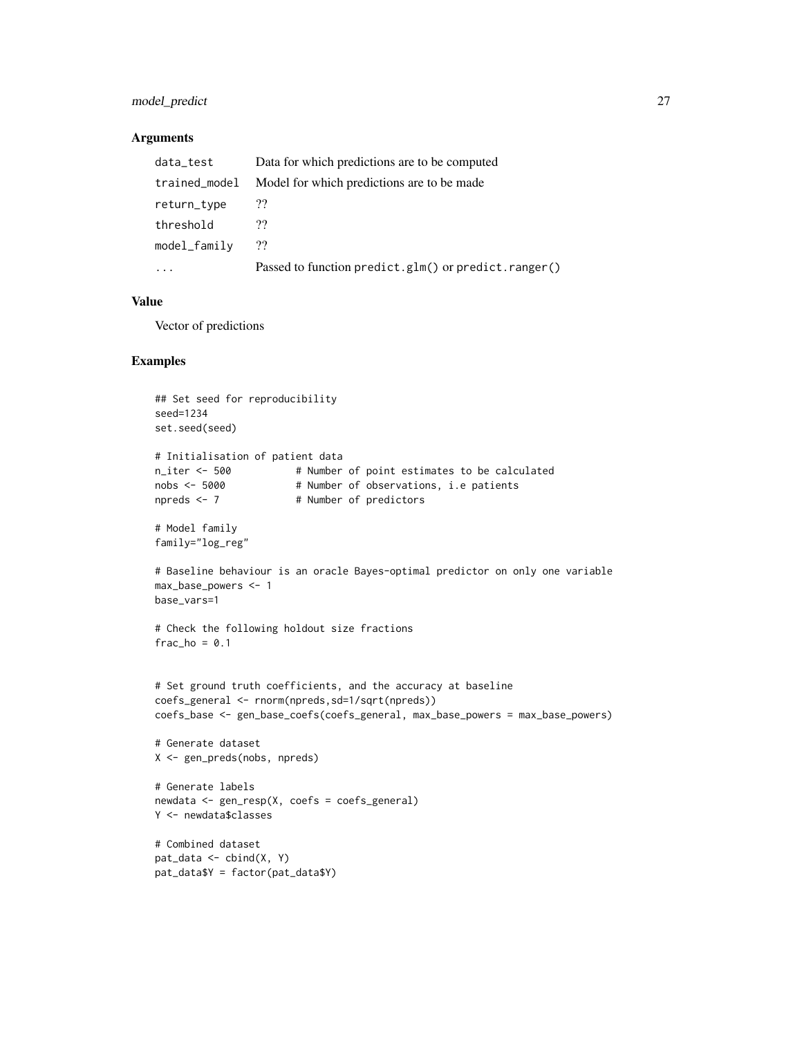# model\_predict 27

#### **Arguments**

| data_test     | Data for which predictions are to be computed        |
|---------------|------------------------------------------------------|
| trained_model | Model for which predictions are to be made.          |
| return_type   | ??                                                   |
| threshold     | 99                                                   |
| model_family  | ??                                                   |
| .             | Passed to function predict.glm() or predict.ranger() |

# Value

Vector of predictions

```
## Set seed for reproducibility
seed=1234
set.seed(seed)
# Initialisation of patient data
n_iter <- 500 # Number of point estimates to be calculated
nobs <- 5000 # Number of observations, i.e patients
npreds <- 7 # Number of predictors
# Model family
family="log_reg"
# Baseline behaviour is an oracle Bayes-optimal predictor on only one variable
max_base_powers <- 1
base_vars=1
# Check the following holdout size fractions
frac_ho = 0.1# Set ground truth coefficients, and the accuracy at baseline
coefs_general <- rnorm(npreds,sd=1/sqrt(npreds))
coefs_base <- gen_base_coefs(coefs_general, max_base_powers = max_base_powers)
# Generate dataset
X <- gen_preds(nobs, npreds)
# Generate labels
newdata <- gen_resp(X, coefs = coefs_general)
Y <- newdata$classes
# Combined dataset
pat_data <- cbind(X, Y)
pat_data$Y = factor(pat_data$Y)
```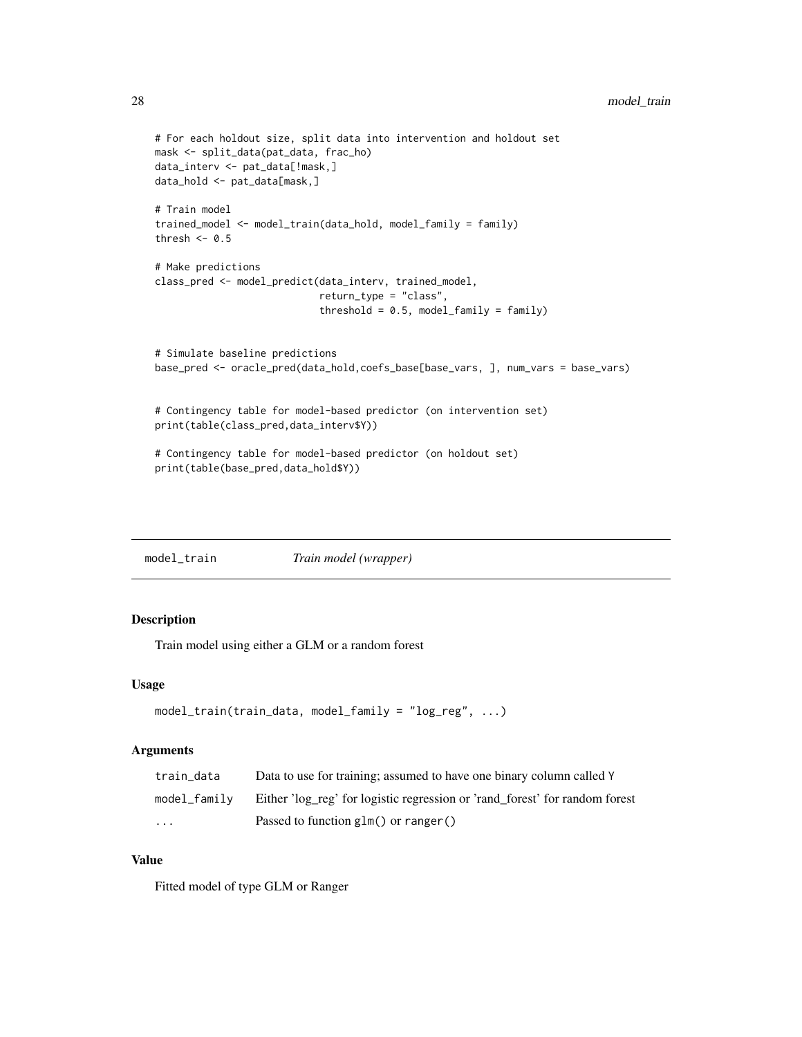```
# For each holdout size, split data into intervention and holdout set
mask <- split_data(pat_data, frac_ho)
data_interv <- pat_data[!mask,]
data_hold <- pat_data[mask,]
# Train model
trained_model <- model_train(data_hold, model_family = family)
thresh <-0.5# Make predictions
class_pred <- model_predict(data_interv, trained_model,
                            return_type = "class",
                            threshold = 0.5, model_family = family)
# Simulate baseline predictions
base_pred <- oracle_pred(data_hold,coefs_base[base_vars, ], num_vars = base_vars)
# Contingency table for model-based predictor (on intervention set)
print(table(class_pred,data_interv$Y))
# Contingency table for model-based predictor (on holdout set)
print(table(base_pred,data_hold$Y))
```
model\_train *Train model (wrapper)*

# Description

Train model using either a GLM or a random forest

#### Usage

```
model_train(train_data, model_family = "log_reg", ...)
```
#### Arguments

| train data   | Data to use for training; assumed to have one binary column called Y        |
|--------------|-----------------------------------------------------------------------------|
| model family | Either 'log_reg' for logistic regression or 'rand_forest' for random forest |
| .            | Passed to function $glm()$ or ranger()                                      |

#### Value

Fitted model of type GLM or Ranger

<span id="page-27-0"></span>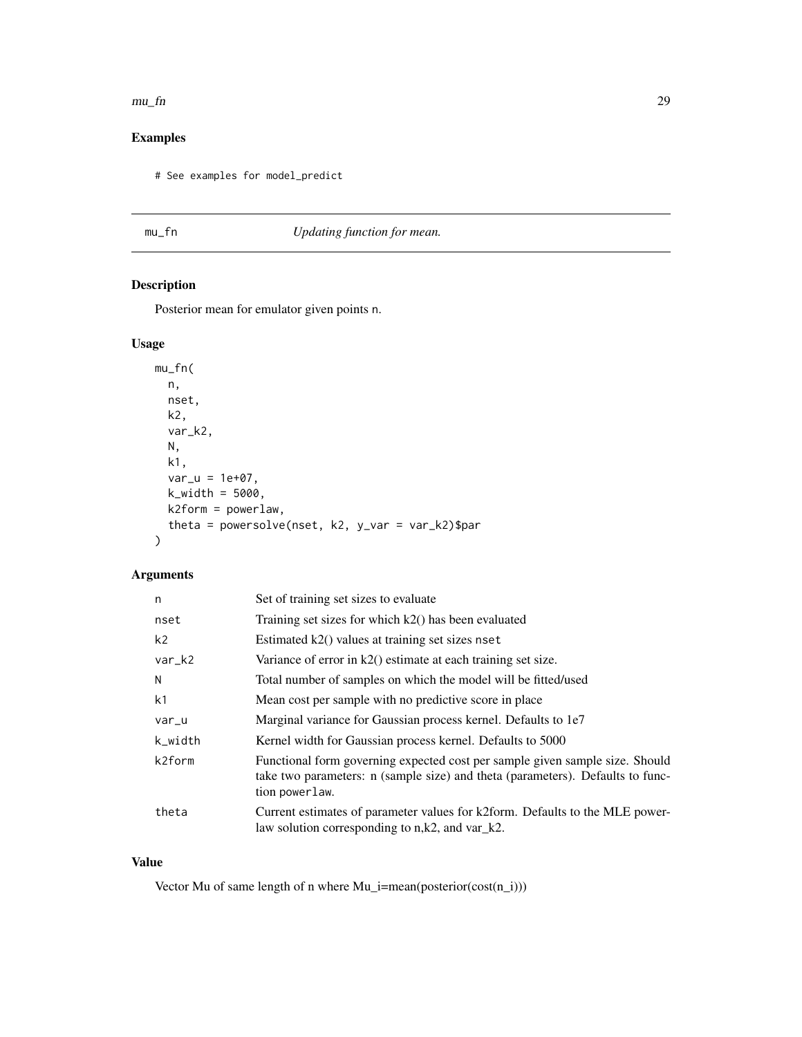#### <span id="page-28-0"></span> $mu_f$  29

# Examples

# See examples for model\_predict

# mu\_fn *Updating function for mean.*

# Description

Posterior mean for emulator given points n.

# Usage

```
mu_fn(
  n,
  nset,
  k2,
  var_k2,
  N,
  k1,
  var_u = 1e+07,
  k_width = 5000,
  k2form = powerlaw,
  theta = powersolve(nset, k2, y_var = var_k2)$par
)
```
# Arguments

| n              | Set of training set sizes to evaluate                                                                                                                                            |
|----------------|----------------------------------------------------------------------------------------------------------------------------------------------------------------------------------|
| nset           | Training set sizes for which k2() has been evaluated                                                                                                                             |
| k <sub>2</sub> | Estimated k2() values at training set sizes nset                                                                                                                                 |
| var_k2         | Variance of error in $k2()$ estimate at each training set size.                                                                                                                  |
| N              | Total number of samples on which the model will be fitted/used                                                                                                                   |
| k1             | Mean cost per sample with no predictive score in place                                                                                                                           |
| var_u          | Marginal variance for Gaussian process kernel. Defaults to 1e7                                                                                                                   |
| k_width        | Kernel width for Gaussian process kernel. Defaults to 5000                                                                                                                       |
| k2form         | Functional form governing expected cost per sample given sample size. Should<br>take two parameters: n (sample size) and theta (parameters). Defaults to func-<br>tion powerlaw. |
| theta          | Current estimates of parameter values for k2form. Defaults to the MLE power-<br>law solution corresponding to $n,k2$ , and $var_k2$ .                                            |

#### Value

Vector Mu of same length of n where Mu\_i=mean(posterior(cost(n\_i)))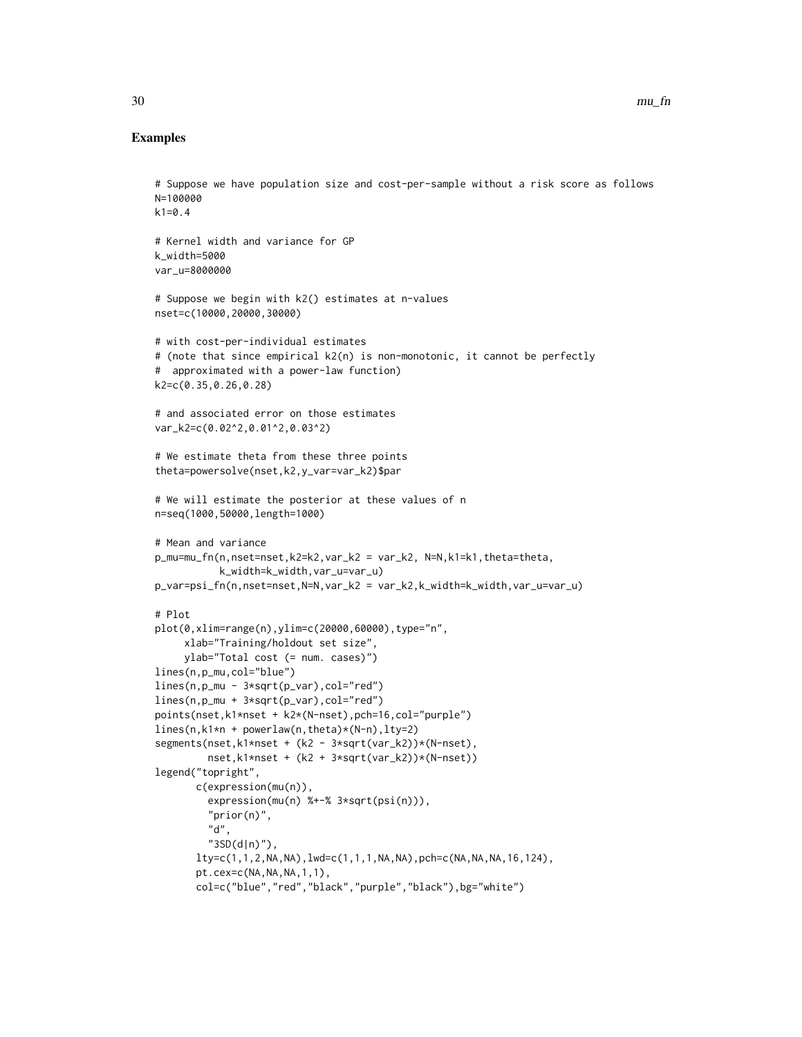```
# Suppose we have population size and cost-per-sample without a risk score as follows
N=100000
k1=0.4# Kernel width and variance for GP
k_width=5000
var_u=8000000
# Suppose we begin with k2() estimates at n-values
nset=c(10000,20000,30000)
# with cost-per-individual estimates
# (note that since empirical k2(n) is non-monotonic, it cannot be perfectly
# approximated with a power-law function)
k2=c(0.35,0.26,0.28)
# and associated error on those estimates
var_k2=c(0.02^2,0.01^2,0.03^2)
# We estimate theta from these three points
theta=powersolve(nset,k2,y_var=var_k2)$par
# We will estimate the posterior at these values of n
n=seq(1000,50000,length=1000)
# Mean and variance
p_mu=mu_fn(n,nset=nset,k2=k2,var_k2 = var_k2, N=N,k1=k1,theta=theta,
           k_width=k_width,var_u=var_u)
p_var=psi_fn(n,nset=nset,N=N,var_k2 = var_k2,k_width=k_width,var_u=var_u)
# Plot
plot(0,xlim=range(n),ylim=c(20000,60000),type="n",
     xlab="Training/holdout set size",
     ylab="Total cost (= num. cases)")
lines(n,p_mu,col="blue")
lines(n,p_mu - 3*sqrt(p_var),col="red")
lines(n,p_mu + 3*sqrt(p_var),col="red")
points(nset,k1*nset + k2*(N-nset),pch=16,col="purple")
lines(n,k1*n + powerlaw(n,theta)*(N-n),lty=2)
segments(nset,k1*nset + (k2 - 3*sqrt(var_k2))*(N-nset),
        nset,k1*nset + (k2 + 3*sqrt(var_k2))*(N-nset))
legend("topright",
       c(expression(mu(n)),
         expression(mu(n) %+-% 3*sqrt(psi(n))),
         "prior(n)",
         "d",
         "3SD(d|n)",
       lty=c(1,1,2,NA,NA),lwd=c(1,1,1,NA,NA),pch=c(NA,NA,NA,16,124),
       pt.cex=c(NA,NA,NA,1,1),
       col=c("blue","red","black","purple","black"),bg="white")
```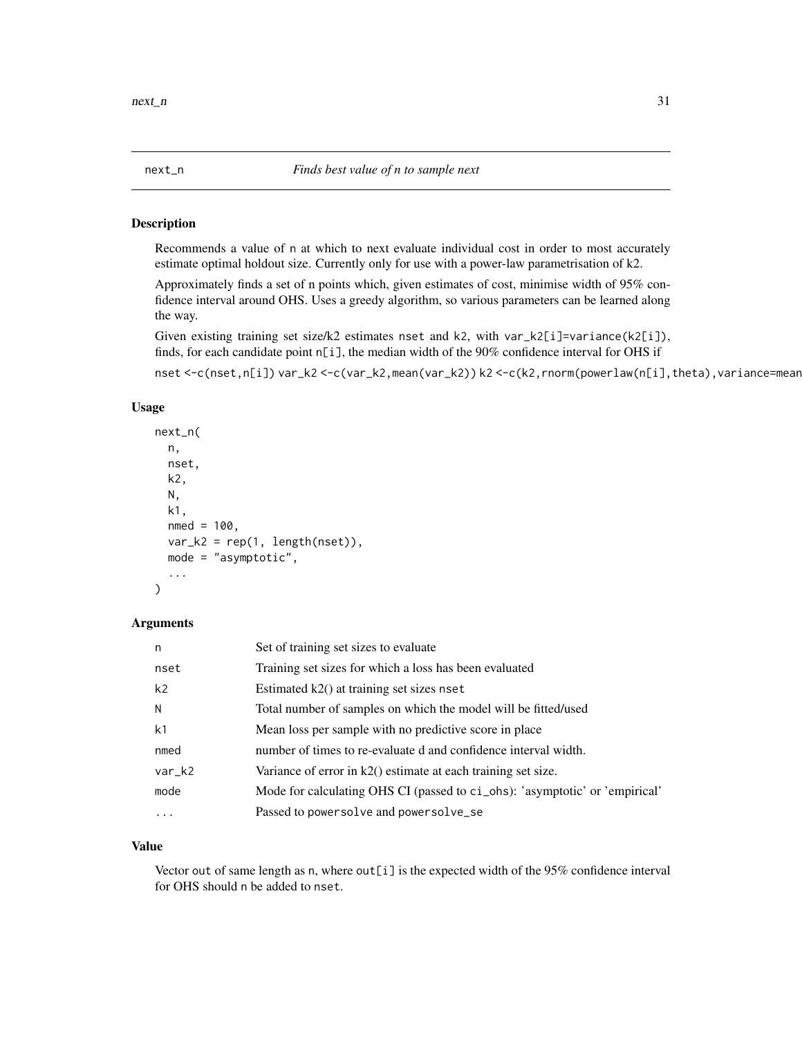<span id="page-30-0"></span>

#### Description

Recommends a value of n at which to next evaluate individual cost in order to most accurately estimate optimal holdout size. Currently only for use with a power-law parametrisation of k2.

Approximately finds a set of n points which, given estimates of cost, minimise width of 95% confidence interval around OHS. Uses a greedy algorithm, so various parameters can be learned along the way.

Given existing training set size/k2 estimates nset and k2, with var\_k2[i]=variance(k2[i]), finds, for each candidate point n[i], the median width of the 90% confidence interval for OHS if

nset <-c(nset,n[i]) var\_k2 <-c(var\_k2,mean(var\_k2)) k2 <-c(k2,rnorm(powerlaw(n[i],theta),variance=mean

#### Usage

```
next_n(
  n,
  nset,
 k2,
  N,
  k1,
  nmed = 100,
  var_k2 = rep(1, length(nset)),mode = "asymptotic",
  ...
)
```
#### Arguments

| n              | Set of training set sizes to evaluate                                       |
|----------------|-----------------------------------------------------------------------------|
| nset           | Training set sizes for which a loss has been evaluated                      |
| k <sub>2</sub> | Estimated $k2()$ at training set sizes nset                                 |
| N              | Total number of samples on which the model will be fitted/used              |
| k <sub>1</sub> | Mean loss per sample with no predictive score in place.                     |
| nmed           | number of times to re-evaluate d and confidence interval width.             |
| var_k2         | Variance of error in $k2()$ estimate at each training set size.             |
| mode           | Mode for calculating OHS CI (passed to ci_ohs): 'asymptotic' or 'empirical' |
| .              | Passed to powersolve and powersolve_se                                      |

#### Value

Vector out of same length as n, where out[i] is the expected width of the 95% confidence interval for OHS should n be added to nset.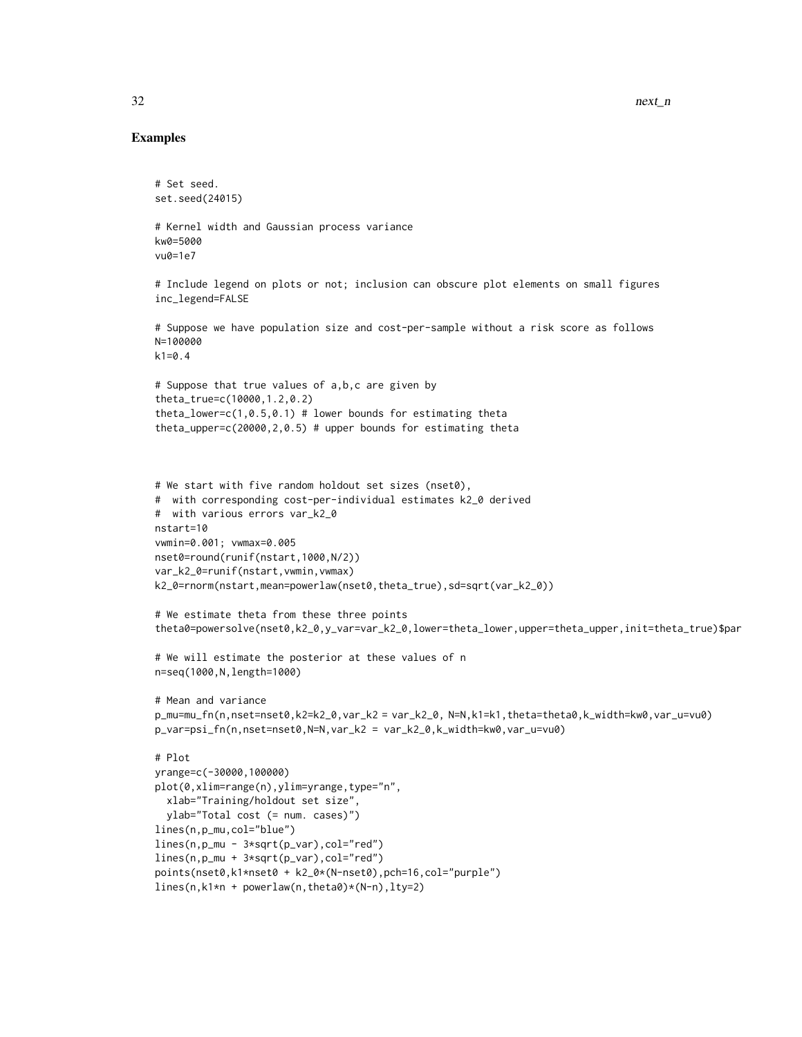```
# Set seed.
set.seed(24015)
# Kernel width and Gaussian process variance
kw0=5000
vu0=1e7
# Include legend on plots or not; inclusion can obscure plot elements on small figures
inc_legend=FALSE
# Suppose we have population size and cost-per-sample without a risk score as follows
N=100000
k1=0.4# Suppose that true values of a,b,c are given by
theta_true=c(10000,1.2,0.2)
theta_lower=c(1, 0.5, 0.1) # lower bounds for estimating theta
theta_upper=c(20000,2,0.5) # upper bounds for estimating theta
# We start with five random holdout set sizes (nset0),
# with corresponding cost-per-individual estimates k2_0 derived
# with various errors var_k2_0
nstart=10
vwmin=0.001; vwmax=0.005
nset0=round(runif(nstart,1000,N/2))
var_k2_0=runif(nstart,vwmin,vwmax)
k2_0=rnorm(nstart,mean=powerlaw(nset0,theta_true),sd=sqrt(var_k2_0))
# We estimate theta from these three points
theta0=powersolve(nset0,k2_0,y_var=var_k2_0,lower=theta_lower,upper=theta_upper,init=theta_true)$par
# We will estimate the posterior at these values of n
n=seq(1000,N,length=1000)
# Mean and variance
p_mu=mu_fn(n,nset=nset0,k2=k2_0,var_k2 = var_k2_0, N=N,k1=k1,theta=theta0,k_width=kw0,var_u=vu0)
p_var=psi_fn(n,nset=nset0,N=N,var_k2 = var_k2_0,k_width=kw0,var_u=vu0)
# Plot
yrange=c(-30000,100000)
plot(0,xlim=range(n),ylim=yrange,type="n",
  xlab="Training/holdout set size",
  ylab="Total cost (= num. cases)")
lines(n,p_mu,col="blue")
lines(n,p_mu - 3*sqrt(p_var),col="red")
lines(n,p_mu + 3*sqrt(p_var),col="red")
points(nset0,k1*nset0 + k2_0*(N-nset0),pch=16,col="purple")
lines(n,k1*n + powerlaw(n,theta0)*(N-n),lty=2)
```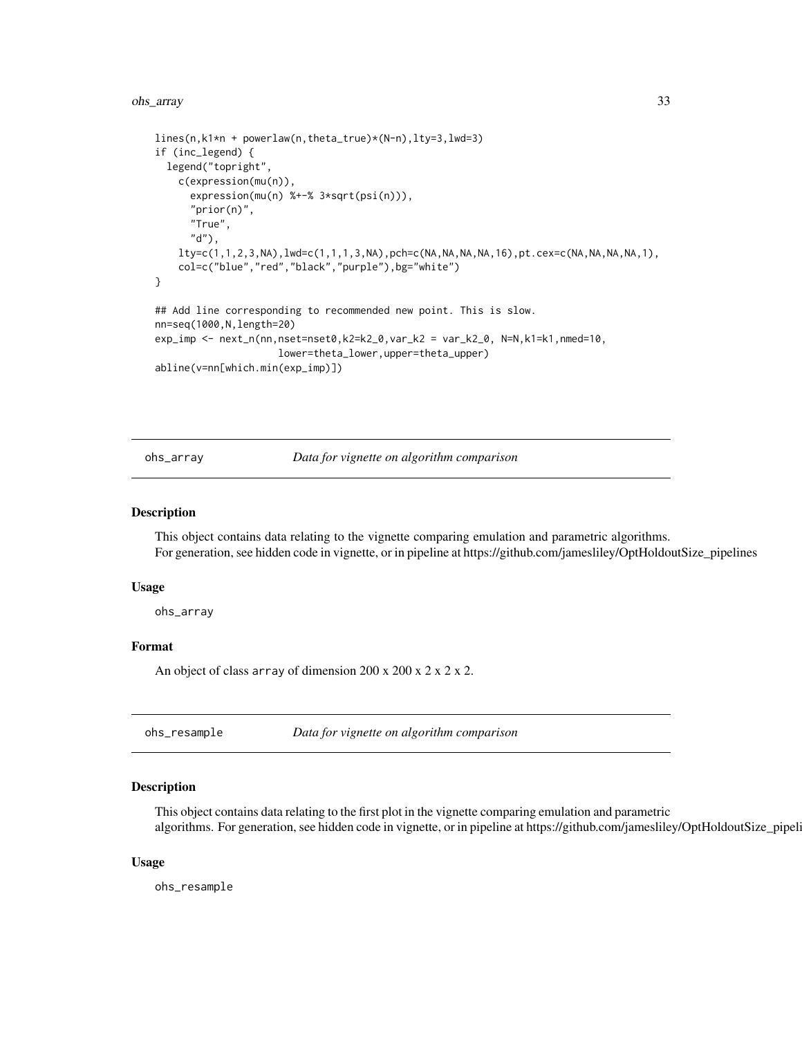<span id="page-32-0"></span>ohs\_array 33

```
lines(n,k1*n + powerlaw(n,theta_true)*(N-n),lty=3,lwd=3)
if (inc_legend) {
 legend("topright",
   c(expression(mu(n)),
     expression(mu(n) %+-% 3*sqrt(psi(n))),
      "prior(n)",
     "True",
      "d"),
   lty=c(1,1,2,3,NA),lwd=c(1,1,1,3,NA),pch=c(NA,NA,NA,NA,16),pt.cex=c(NA,NA,NA,NA,1),
    col=c("blue","red","black","purple"),bg="white")
}
## Add line corresponding to recommended new point. This is slow.
nn=seq(1000,N,length=20)
exp_imp <- next_n(nn,nset=nset0,k2=k2_0,var_k2 = var_k2_0, N=N,k1=k1,nmed=10,
                     lower=theta_lower,upper=theta_upper)
abline(v=nn[which.min(exp_imp)])
```
ohs\_array *Data for vignette on algorithm comparison*

#### Description

This object contains data relating to the vignette comparing emulation and parametric algorithms. For generation, see hidden code in vignette, or in pipeline at https://github.com/jamesliley/OptHoldoutSize\_pipelines

#### Usage

ohs\_array

# Format

An object of class array of dimension  $200 \times 200 \times 2 \times 2 \times 2$ .

ohs\_resample *Data for vignette on algorithm comparison*

#### Description

This object contains data relating to the first plot in the vignette comparing emulation and parametric algorithms. For generation, see hidden code in vignette, or in pipeline at https://github.com/jamesliley/OptHoldoutSize\_pipeli

#### Usage

ohs\_resample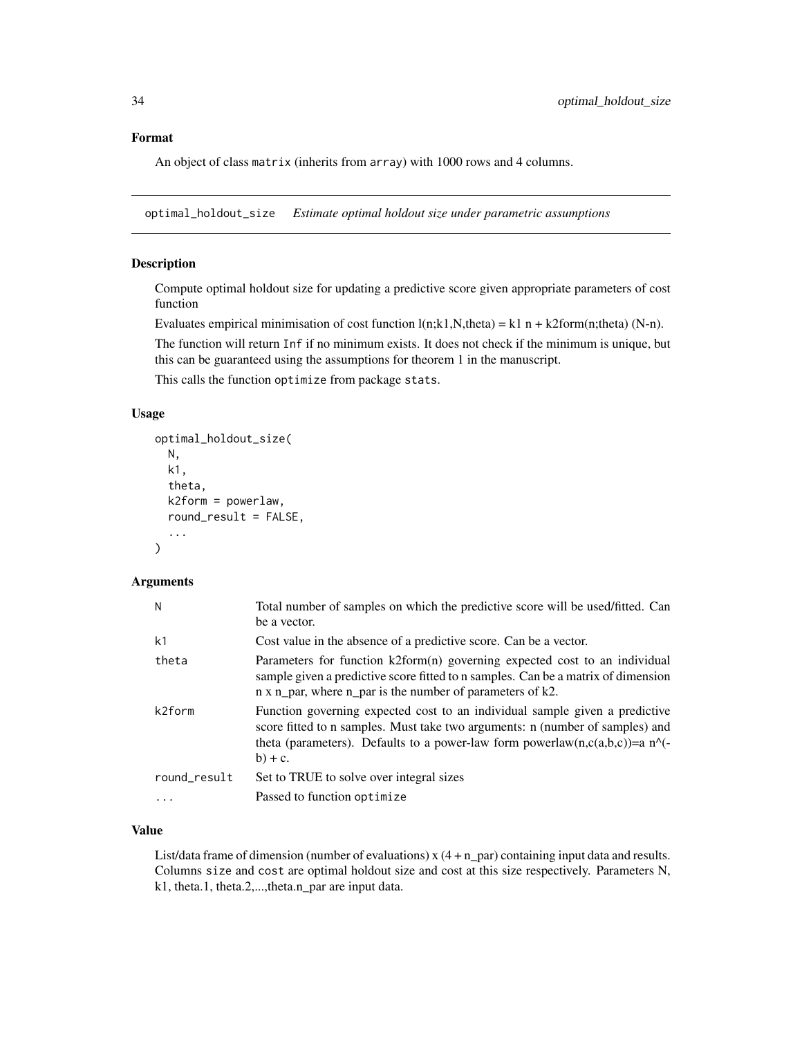# <span id="page-33-0"></span>Format

An object of class matrix (inherits from array) with 1000 rows and 4 columns.

optimal\_holdout\_size *Estimate optimal holdout size under parametric assumptions*

# Description

Compute optimal holdout size for updating a predictive score given appropriate parameters of cost function

Evaluates empirical minimisation of cost function  $l(n;k1,N,theta) = k1n + k2form(n;theta) (N-n)$ .

The function will return Inf if no minimum exists. It does not check if the minimum is unique, but this can be guaranteed using the assumptions for theorem 1 in the manuscript.

This calls the function optimize from package stats.

#### Usage

```
optimal_holdout_size(
 N,
  k1,
  theta,
  k2 form = powerlaw,
  round_result = FALSE,
  ...
\mathcal{L}
```
# Arguments

| N              | Total number of samples on which the predictive score will be used/fitted. Can<br>be a vector.                                                                                                                                                            |
|----------------|-----------------------------------------------------------------------------------------------------------------------------------------------------------------------------------------------------------------------------------------------------------|
| k <sub>1</sub> | Cost value in the absence of a predictive score. Can be a vector.                                                                                                                                                                                         |
| theta          | Parameters for function k2form(n) governing expected cost to an individual<br>sample given a predictive score fitted to n samples. Can be a matrix of dimension<br>n x n_par, where n_par is the number of parameters of k2.                              |
| k2form         | Function governing expected cost to an individual sample given a predictive<br>score fitted to n samples. Must take two arguments: n (number of samples) and<br>theta (parameters). Defaults to a power-law form powerlaw(n,c(a,b,c))=a n^(-<br>$b) + c.$ |
| round_result   | Set to TRUE to solve over integral sizes                                                                                                                                                                                                                  |
| .              | Passed to function optimize                                                                                                                                                                                                                               |
|                |                                                                                                                                                                                                                                                           |

#### Value

List/data frame of dimension (number of evaluations)  $x(4 + n$  par) containing input data and results. Columns size and cost are optimal holdout size and cost at this size respectively. Parameters N, k1, theta.1, theta.2,...,theta.n\_par are input data.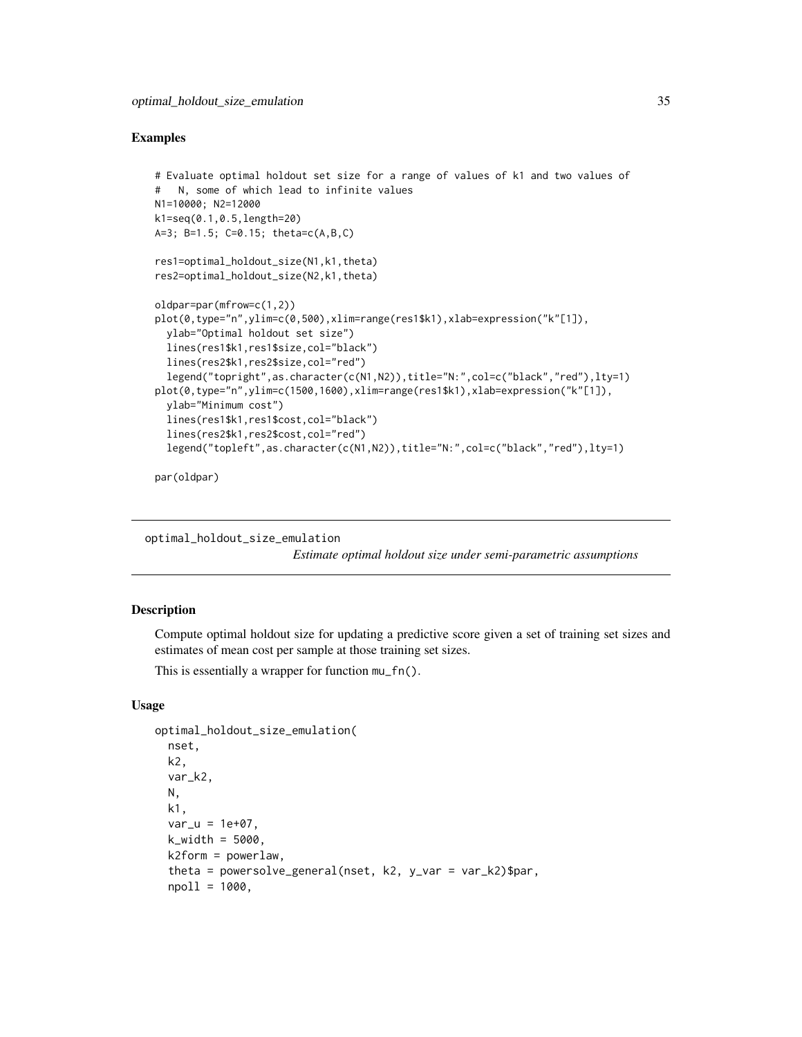#### <span id="page-34-0"></span>Examples

```
# Evaluate optimal holdout set size for a range of values of k1 and two values of
# N, some of which lead to infinite values
N1=10000; N2=12000
k1=seq(0.1,0.5,length=20)
A=3; B=1.5; C=0.15; theta=c(A,B,C)
res1=optimal_holdout_size(N1,k1,theta)
res2=optimal_holdout_size(N2,k1,theta)
oldpar=par(mfrow=c(1,2))
plot(0,type="n",ylim=c(0,500),xlim=range(res1$k1),xlab=expression("k"[1]),
  ylab="Optimal holdout set size")
  lines(res1$k1,res1$size,col="black")
  lines(res2$k1,res2$size,col="red")
  legend("topright",as.character(c(N1,N2)),title="N:",col=c("black","red"),lty=1)
plot(0,type="n",ylim=c(1500,1600),xlim=range(res1$k1),xlab=expression("k"[1]),
  ylab="Minimum cost")
  lines(res1$k1,res1$cost,col="black")
  lines(res2$k1,res2$cost,col="red")
  legend("topleft",as.character(c(N1,N2)),title="N:",col=c("black","red"),lty=1)
```
par(oldpar)

optimal\_holdout\_size\_emulation

*Estimate optimal holdout size under semi-parametric assumptions*

#### Description

Compute optimal holdout size for updating a predictive score given a set of training set sizes and estimates of mean cost per sample at those training set sizes.

This is essentially a wrapper for function mu\_fn().

## Usage

```
optimal_holdout_size_emulation(
  nset,
 k2,
  var_k2,
 N,
 k1,
  var_u = 1e+07,
 k_width = 5000,
  k2form = powerlaw,
  theta = powersolve_general(nset, k2, y_var = var_k2)$par,
  npol1 = 1000,
```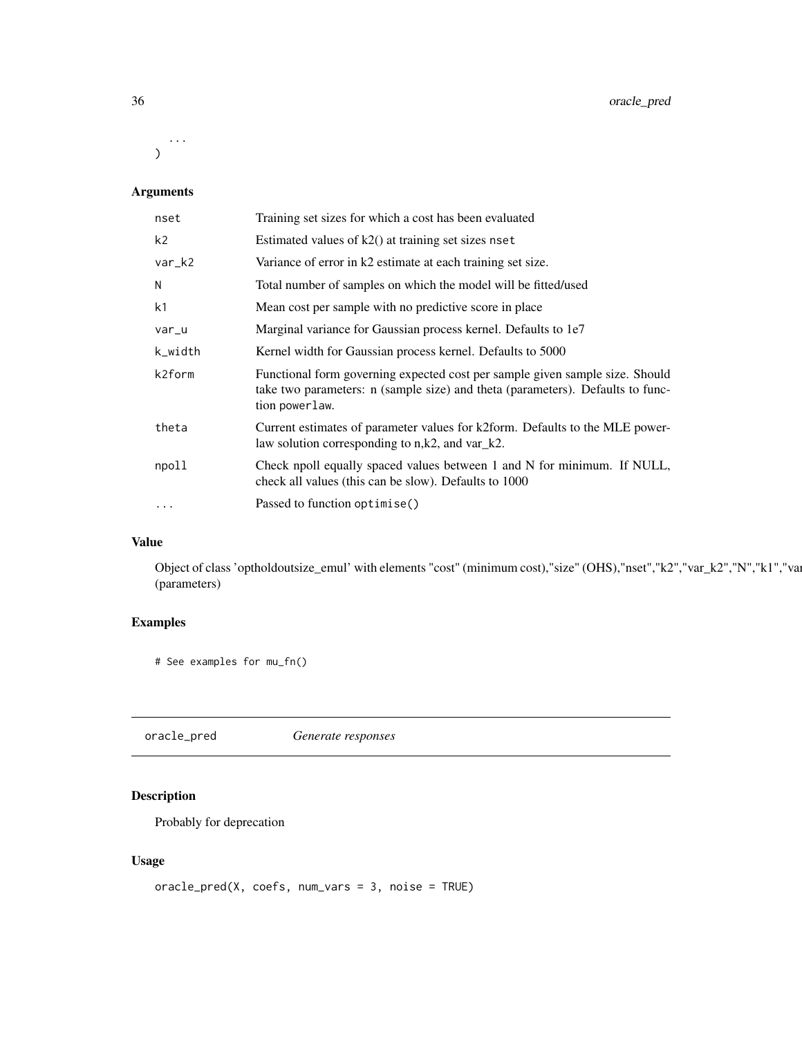<span id="page-35-0"></span>...  $\mathcal{L}$ 

# Arguments

| nset           | Training set sizes for which a cost has been evaluated                                                                                                                           |
|----------------|----------------------------------------------------------------------------------------------------------------------------------------------------------------------------------|
| k <sub>2</sub> | Estimated values of $k2()$ at training set sizes nset                                                                                                                            |
| var_k2         | Variance of error in k2 estimate at each training set size.                                                                                                                      |
| N              | Total number of samples on which the model will be fitted/used                                                                                                                   |
| k1             | Mean cost per sample with no predictive score in place.                                                                                                                          |
| var_u          | Marginal variance for Gaussian process kernel. Defaults to 1e7                                                                                                                   |
| k_width        | Kernel width for Gaussian process kernel. Defaults to 5000                                                                                                                       |
| k2form         | Functional form governing expected cost per sample given sample size. Should<br>take two parameters: n (sample size) and theta (parameters). Defaults to func-<br>tion powerlaw. |
| theta          | Current estimates of parameter values for k2form. Defaults to the MLE power-<br>law solution corresponding to $n,k2$ , and $var_k2$ .                                            |
| npoll          | Check npoll equally spaced values between 1 and N for minimum. If NULL,<br>check all values (this can be slow). Defaults to 1000                                                 |
| $\cdots$       | Passed to function optimise()                                                                                                                                                    |

#### Value

Object of class 'optholdoutsize\_emul' with elements "cost" (minimum cost),"size" (OHS),"nset","k2","var\_k2","N","k1","var (parameters)

# Examples

# See examples for mu\_fn()

oracle\_pred *Generate responses*

# Description

Probably for deprecation

# Usage

```
oracle_pred(X, coefs, num_vars = 3, noise = TRUE)
```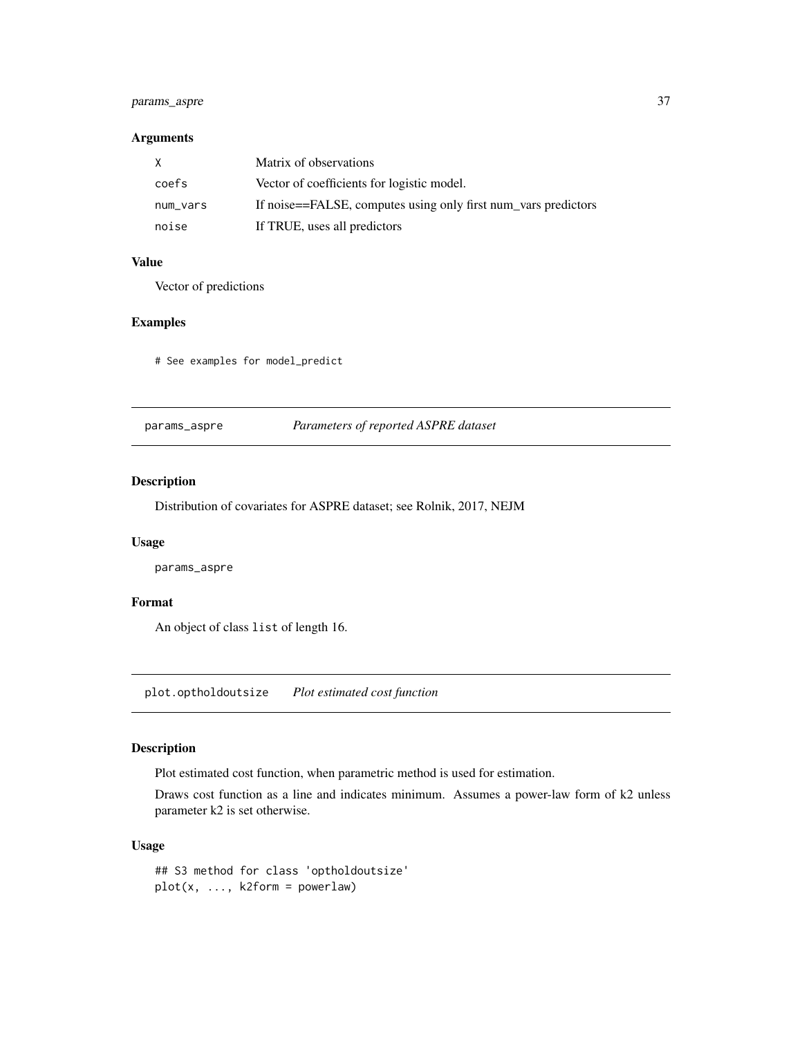# <span id="page-36-0"></span>params\_aspre 37

#### Arguments

| X        | Matrix of observations                                         |
|----------|----------------------------------------------------------------|
| coefs    | Vector of coefficients for logistic model.                     |
| num_vars | If noise==FALSE, computes using only first num_vars predictors |
| noise    | If TRUE, uses all predictors                                   |

#### Value

Vector of predictions

# Examples

# See examples for model\_predict

params\_aspre *Parameters of reported ASPRE dataset*

# Description

Distribution of covariates for ASPRE dataset; see Rolnik, 2017, NEJM

#### Usage

params\_aspre

#### Format

An object of class list of length 16.

plot.optholdoutsize *Plot estimated cost function*

# Description

Plot estimated cost function, when parametric method is used for estimation.

Draws cost function as a line and indicates minimum. Assumes a power-law form of k2 unless parameter k2 is set otherwise.

#### Usage

## S3 method for class 'optholdoutsize'  $plot(x, ..., k2form = powerlaw)$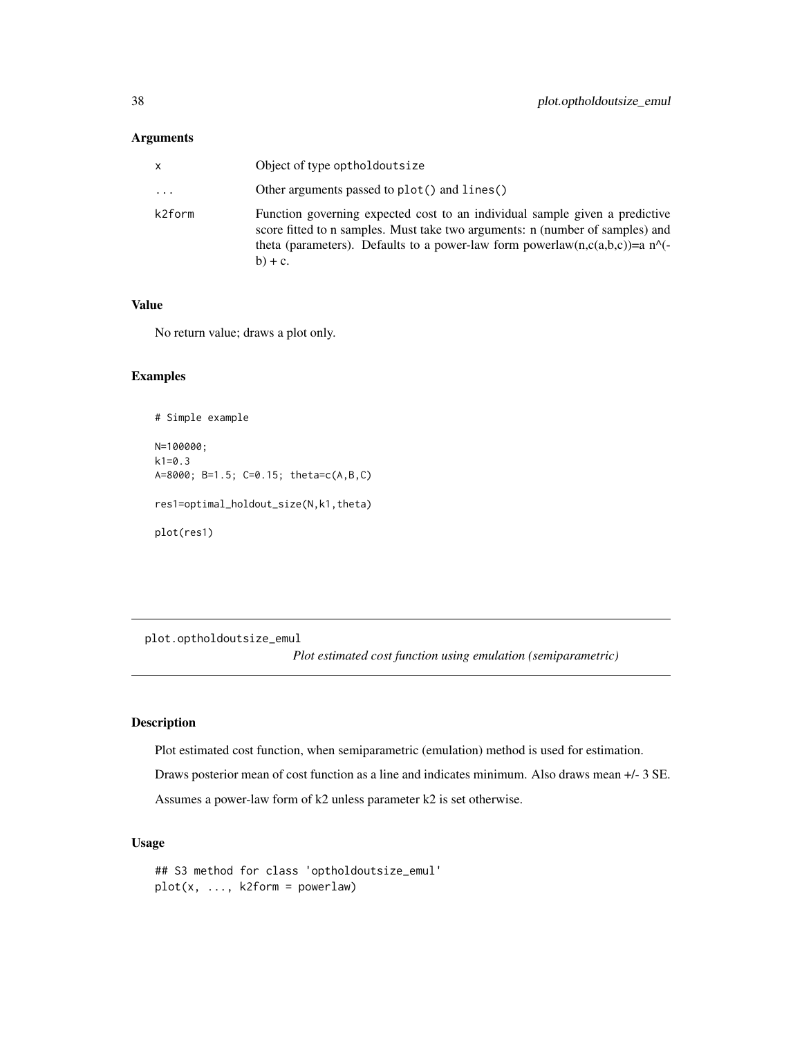# <span id="page-37-0"></span>Arguments

| x      | Object of type optholdoutsize                                                                                                                                                                                                                                       |
|--------|---------------------------------------------------------------------------------------------------------------------------------------------------------------------------------------------------------------------------------------------------------------------|
| .      | Other arguments passed to plot() and lines()                                                                                                                                                                                                                        |
| k2form | Function governing expected cost to an individual sample given a predictive<br>score fitted to n samples. Must take two arguments: n (number of samples) and<br>theta (parameters). Defaults to a power-law form powerlaw(n,c(a,b,c))=a $n^{\wedge}$ -<br>$b) + c.$ |

#### Value

No return value; draws a plot only.

# Examples

```
# Simple example
N=100000;
k1=0.3A=8000; B=1.5; C=0.15; theta=c(A,B,C)
res1=optimal_holdout_size(N,k1,theta)
plot(res1)
```
plot.optholdoutsize\_emul

*Plot estimated cost function using emulation (semiparametric)*

# Description

Plot estimated cost function, when semiparametric (emulation) method is used for estimation. Draws posterior mean of cost function as a line and indicates minimum. Also draws mean +/- 3 SE. Assumes a power-law form of k2 unless parameter k2 is set otherwise.

# Usage

```
## S3 method for class 'optholdoutsize_emul'
plot(x, ..., k2form = powerlaw)
```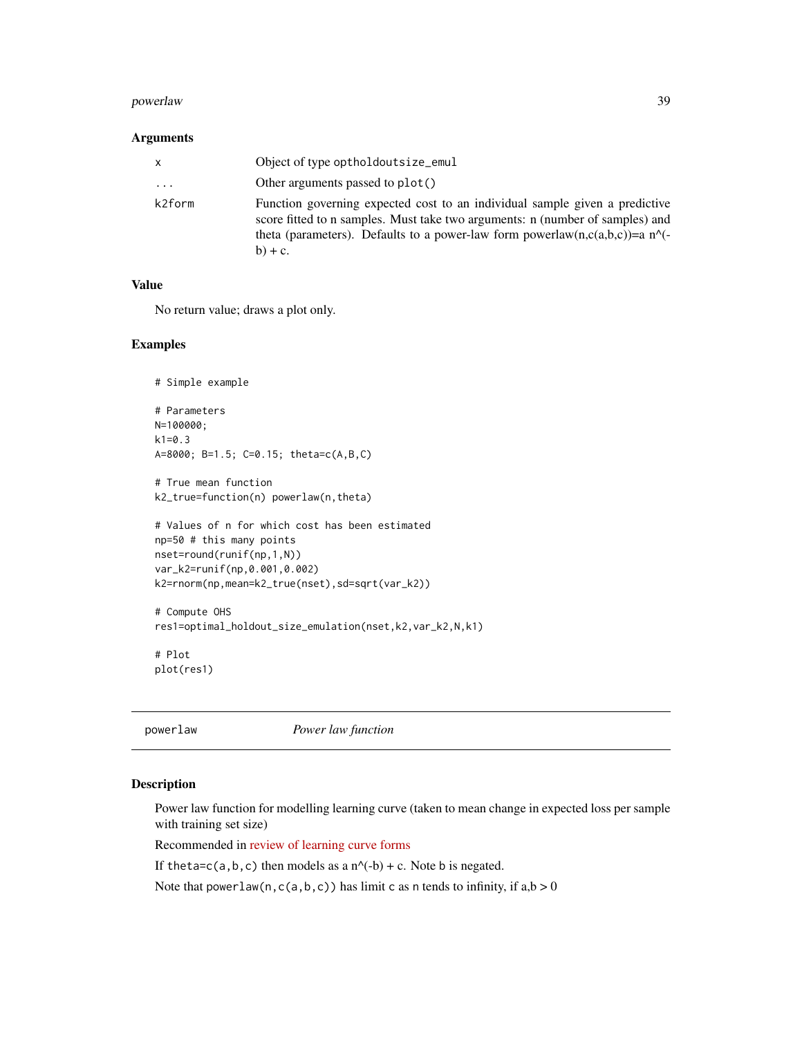#### <span id="page-38-0"></span>powerlaw 39

#### Arguments

| x        | Object of type optholdoutsize_emul                                                                                                                                                                                                                        |
|----------|-----------------------------------------------------------------------------------------------------------------------------------------------------------------------------------------------------------------------------------------------------------|
| $\cdots$ | Other arguments passed to plot()                                                                                                                                                                                                                          |
| k2form   | Function governing expected cost to an individual sample given a predictive<br>score fitted to n samples. Must take two arguments: n (number of samples) and<br>theta (parameters). Defaults to a power-law form powerlaw(n,c(a,b,c))=a n^(-<br>$b) + c.$ |

# Value

No return value; draws a plot only.

# Examples

```
# Simple example
# Parameters
N=100000;
k1=0.3
A=8000; B=1.5; C=0.15; theta=c(A,B,C)
# True mean function
k2_true=function(n) powerlaw(n,theta)
# Values of n for which cost has been estimated
np=50 # this many points
nset=round(runif(np,1,N))
var_k2=runif(np,0.001,0.002)
k2=rnorm(np,mean=k2_true(nset),sd=sqrt(var_k2))
# Compute OHS
res1=optimal_holdout_size_emulation(nset,k2,var_k2,N,k1)
```
# Plot plot(res1)

```
powerlaw Power law function
```
#### Description

Power law function for modelling learning curve (taken to mean change in expected loss per sample with training set size)

Recommended in [review of learning curve forms](https://arxiv.org/abs/2103.10948)

If theta=c(a,b,c) then models as a  $n^(-b) + c$ . Note b is negated.

Note that powerlaw(n,c(a,b,c)) has limit c as n tends to infinity, if  $a,b > 0$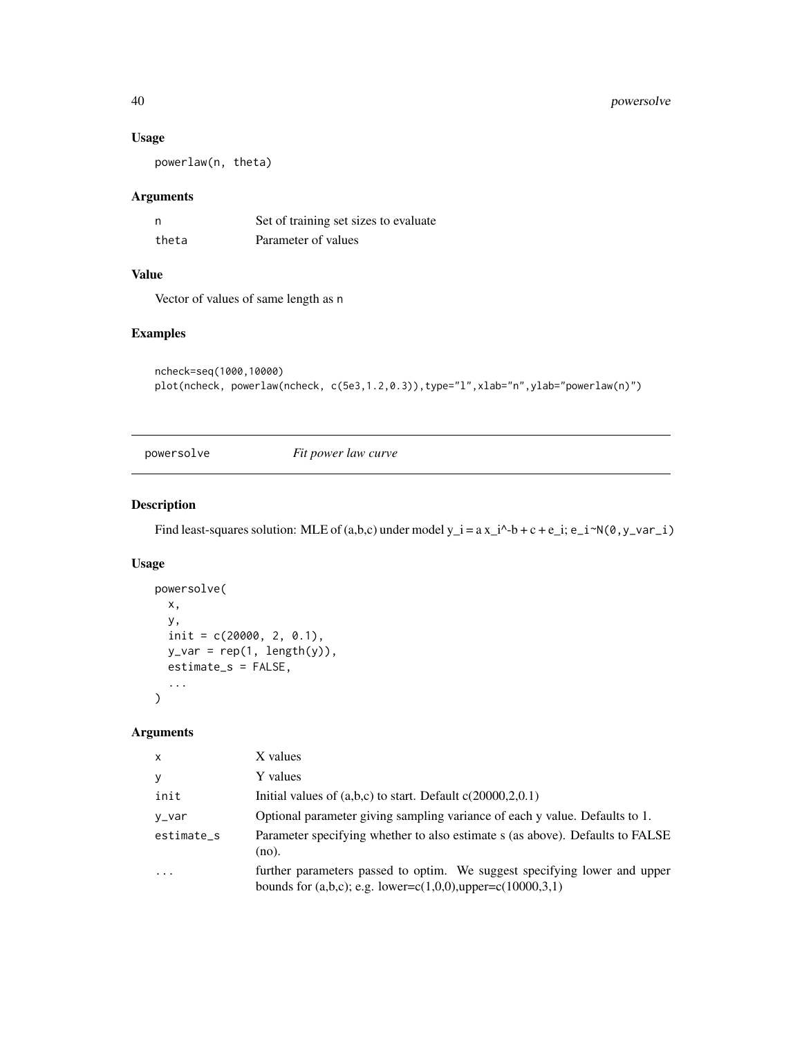# <span id="page-39-0"></span>40 powersolve

#### Usage

powerlaw(n, theta)

# Arguments

| n     | Set of training set sizes to evaluate |
|-------|---------------------------------------|
| theta | Parameter of values                   |

# Value

Vector of values of same length as n

# Examples

```
ncheck=seq(1000,10000)
plot(ncheck, powerlaw(ncheck, c(5e3,1.2,0.3)),type="l",xlab="n",ylab="powerlaw(n)")
```
powersolve *Fit power law curve*

# Description

Find least-squares solution: MLE of  $(a,b,c)$  under model  $y_i = a x_i^3-b+c+e_i$ ;  $e_i^2-a x_i^3$ ,  $e_i^2-a x_i^2$ 

# Usage

```
powersolve(
  x,
  y,
  init = c(20000, 2, 0.1),
  y_{\text{v}} = \text{rep}(1, \text{length}(y)),estimate_s = FALSE,
   ...
\mathcal{L}
```
# Arguments

| X          | X values                                                                                                                                          |
|------------|---------------------------------------------------------------------------------------------------------------------------------------------------|
| y          | Y values                                                                                                                                          |
| init       | Initial values of $(a,b,c)$ to start. Default $c(20000,2,0.1)$                                                                                    |
| y_var      | Optional parameter giving sampling variance of each y value. Defaults to 1.                                                                       |
| estimate_s | Parameter specifying whether to also estimate s (as above). Defaults to FALSE<br>(no).                                                            |
| $\cdots$   | further parameters passed to optim. We suggest specifying lower and upper<br>bounds for $(a,b,c)$ ; e.g. lower=c $(1,0,0)$ ,upper=c $(10000,3,1)$ |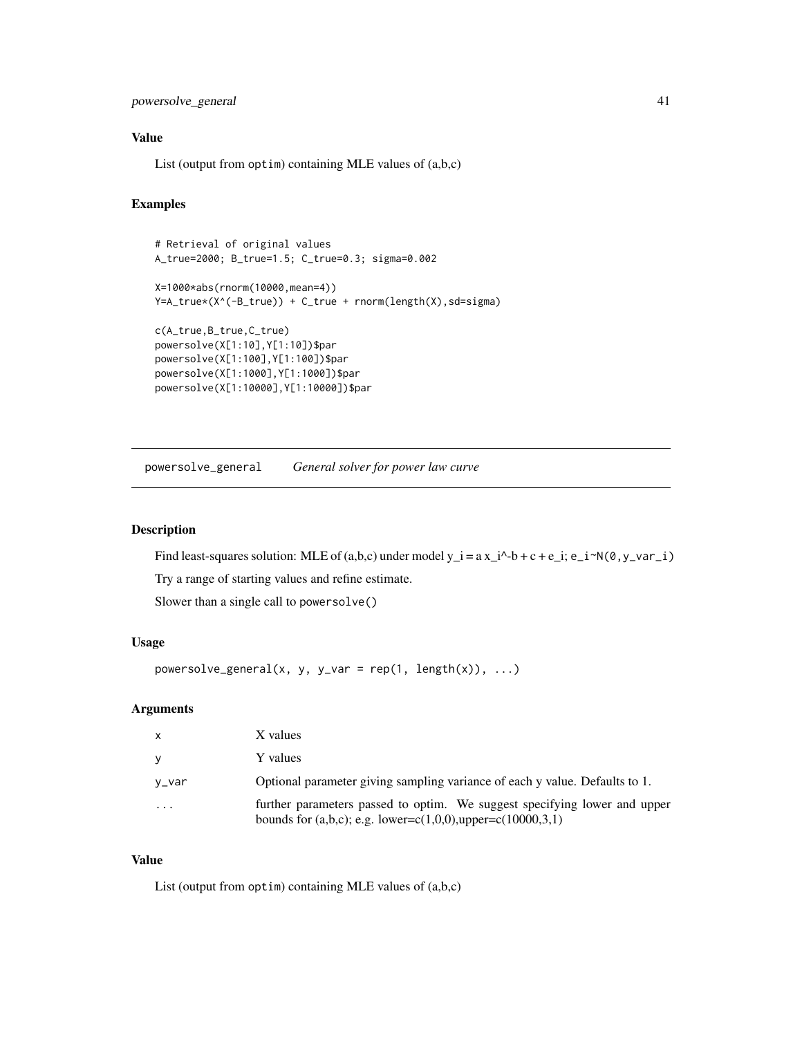# <span id="page-40-0"></span>powersolve\_general 41

#### Value

List (output from optim) containing MLE values of (a,b,c)

#### Examples

```
# Retrieval of original values
A_true=2000; B_true=1.5; C_true=0.3; sigma=0.002
X=1000*abs(rnorm(10000,mean=4))
Y=A_true*(X^(-B_true)) + C_true + rnorm(length(X),sd=sigma)
c(A_true,B_true,C_true)
powersolve(X[1:10],Y[1:10])$par
powersolve(X[1:100],Y[1:100])$par
powersolve(X[1:1000],Y[1:1000])$par
powersolve(X[1:10000],Y[1:10000])$par
```
powersolve\_general *General solver for power law curve*

# Description

Find least-squares solution: MLE of (a,b,c) under model  $y_i = a x_i^2 - b + c + e_i$ ;  $e_i^2 - i^2N(\theta, y_i - i)$ Try a range of starting values and refine estimate.

Slower than a single call to powersolve()

# Usage

```
powersolve\_general(x, y, y\_var = rep(1, length(x)), ...)
```
#### Arguments

| <b>X</b>  | X values                                                                                                                                          |
|-----------|---------------------------------------------------------------------------------------------------------------------------------------------------|
| V         | Y values                                                                                                                                          |
| y_var     | Optional parameter giving sampling variance of each y value. Defaults to 1.                                                                       |
| $\ddotsc$ | further parameters passed to optim. We suggest specifying lower and upper<br>bounds for $(a,b,c)$ ; e.g. lower=c $(1,0,0)$ ,upper=c $(10000,3,1)$ |

#### Value

List (output from optim) containing MLE values of (a,b,c)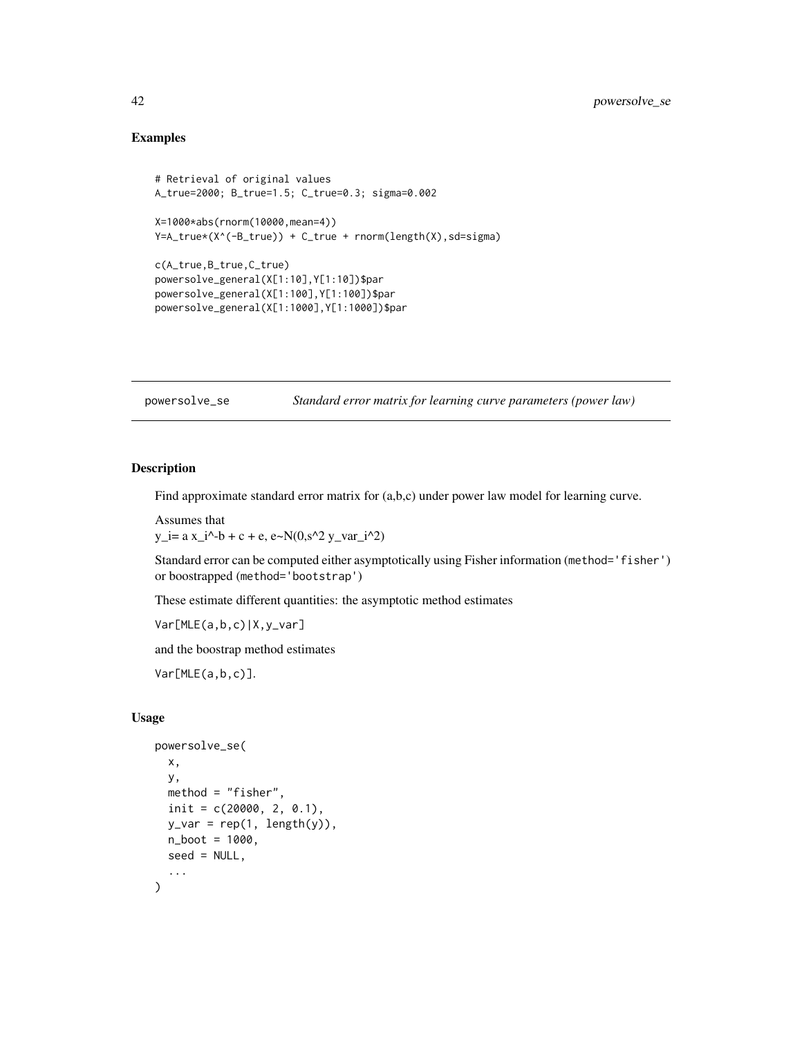# <span id="page-41-0"></span>Examples

```
# Retrieval of original values
A_true=2000; B_true=1.5; C_true=0.3; sigma=0.002
X=1000*abs(rnorm(10000,mean=4))
Y=A_true*(X^(-B_true)) + C_true + rnorm(length(X),sd=sigma)
c(A_true,B_true,C_true)
powersolve_general(X[1:10],Y[1:10])$par
powersolve_general(X[1:100],Y[1:100])$par
powersolve_general(X[1:1000],Y[1:1000])$par
```

| powersolve_se | Standard error matrix for learning curve parameters (power law) |  |
|---------------|-----------------------------------------------------------------|--|
|               |                                                                 |  |

# Description

Find approximate standard error matrix for  $(a,b,c)$  under power law model for learning curve.

Assumes that  $y_i = a x_i^3 - b + c + e$ ,  $e \sim N(0, s^2 y_i - \frac{a_i^2}{2})$ 

Standard error can be computed either asymptotically using Fisher information (method='fisher') or boostrapped (method='bootstrap')

These estimate different quantities: the asymptotic method estimates

Var[MLE(a,b,c)|X,y\_var]

and the boostrap method estimates

Var[MLE(a,b,c)].

#### Usage

```
powersolve_se(
  x,
 y,
 method = "fisher",
  init = c(20000, 2, 0.1),y_{\text{v}} = \text{rep}(1, \text{length}(y)),n\_boot = 1000,seed = NULL,
  ...
)
```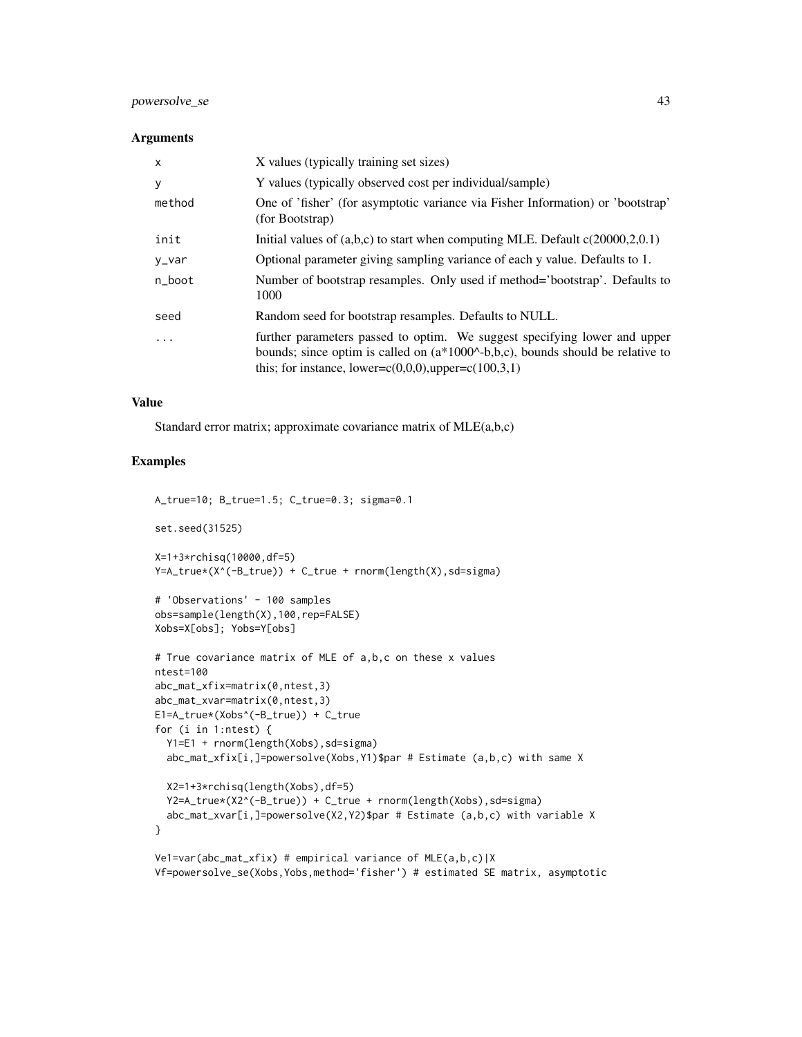# powersolve\_se 43

#### **Arguments**

| $\mathsf{x}$ | X values (typically training set sizes)                                                                                                                                                                                              |
|--------------|--------------------------------------------------------------------------------------------------------------------------------------------------------------------------------------------------------------------------------------|
| У            | Y values (typically observed cost per individual/sample)                                                                                                                                                                             |
| method       | One of 'fisher' (for asymptotic variance via Fisher Information) or 'bootstrap'<br>(for Bootstrap)                                                                                                                                   |
| init         | Initial values of $(a,b,c)$ to start when computing MLE. Default $c(20000,2,0.1)$                                                                                                                                                    |
| y_var        | Optional parameter giving sampling variance of each y value. Defaults to 1.                                                                                                                                                          |
| n_boot       | Number of bootstrap resamples. Only used if method='bootstrap'. Defaults to<br>1000                                                                                                                                                  |
| seed         | Random seed for bootstrap resamples. Defaults to NULL.                                                                                                                                                                               |
| .            | further parameters passed to optim. We suggest specifying lower and upper<br>bounds; since optim is called on $(a*1000^{\circ}–b,b,c)$ , bounds should be relative to<br>this; for instance, lower= $c(0,0,0)$ , upper= $c(100,3,1)$ |

# Value

Standard error matrix; approximate covariance matrix of MLE(a,b,c)

# Examples

A\_true=10; B\_true=1.5; C\_true=0.3; sigma=0.1

```
set.seed(31525)
```

```
X=1+3*rchisq(10000,df=5)
Y=A_true*(X^(-B_true)) + C_true + rnorm(length(X),sd=sigma)
```

```
# 'Observations' - 100 samples
obs=sample(length(X),100,rep=FALSE)
Xobs=X[obs]; Yobs=Y[obs]
```

```
# True covariance matrix of MLE of a,b,c on these x values
ntest=100
abc_mat_xfix=matrix(0,ntest,3)
abc_mat_xvar=matrix(0,ntest,3)
E1=A_true*(Xobs^(-B_true)) + C_true
for (i in 1:ntest) {
  Y1=E1 + rnorm(length(Xobs),sd=sigma)
  abc_mat_xfix[i,]=powersolve(Xobs,Y1)$par # Estimate (a,b,c) with same X
  X2=1+3*rchisq(length(Xobs),df=5)
  Y2=A_true*(X2^(-B_true)) + C_true + rnorm(length(Xobs),sd=sigma)
  abc_mat_xvar[i,]=powersolve(X2,Y2)$par # Estimate (a,b,c) with variable X
}
```

```
Ve1=var(abc_mat_xfix) # empirical variance of MLE(a,b,c)|X
Vf=powersolve_se(Xobs,Yobs,method='fisher') # estimated SE matrix, asymptotic
```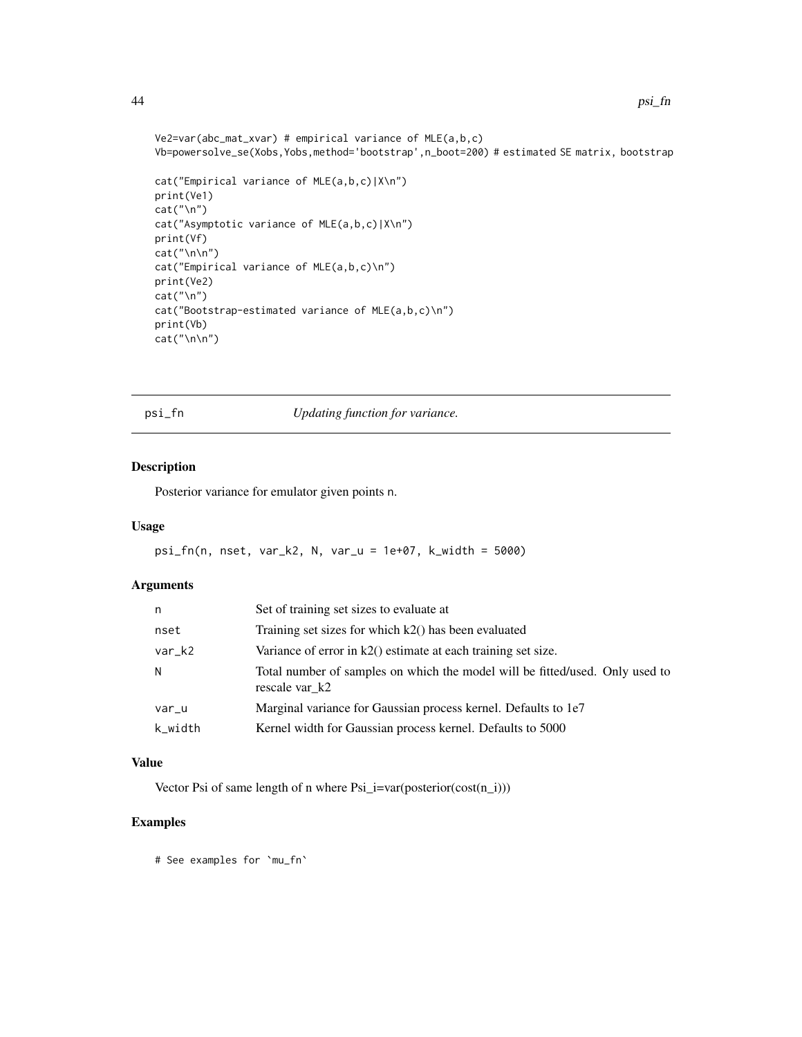```
Ve2=var(abc_mat_xvar) # empirical variance of MLE(a,b,c)
Vb=powersolve_se(Xobs,Yobs,method='bootstrap',n_boot=200) # estimated SE matrix, bootstrap
cat("Empirical variance of MLE(a,b,c)|X\n")
print(Ve1)
cat("\n")
cat("Asymptotic variance of MLE(a,b,c)|X\n")
print(Vf)
cat("\n\n")
cat("Empirical variance of MLE(a,b,c)\n")
print(Ve2)
cat("\n'\)cat("Bootstrap-estimated variance of MLE(a,b,c)\n")
print(Vb)
cat("\n\n")
```
psi\_fn *Updating function for variance.*

# Description

Posterior variance for emulator given points n.

#### Usage

psi\_fn(n, nset, var\_k2, N, var\_u = 1e+07, k\_width = 5000)

#### Arguments

| n       | Set of training set sizes to evaluate at                                                       |  |
|---------|------------------------------------------------------------------------------------------------|--|
| nset    | Training set sizes for which k2() has been evaluated                                           |  |
| var_k2  | Variance of error in $k2()$ estimate at each training set size.                                |  |
| N       | Total number of samples on which the model will be fitted/used. Only used to<br>rescale var k2 |  |
| var_u   | Marginal variance for Gaussian process kernel. Defaults to 1e7                                 |  |
| k_width | Kernel width for Gaussian process kernel. Defaults to 5000                                     |  |
|         |                                                                                                |  |

# Value

Vector Psi of same length of n where  $\text{Psi}_i$  =var(posterior(cost(n\_i)))

# Examples

# See examples for `mu\_fn`

<span id="page-43-0"></span>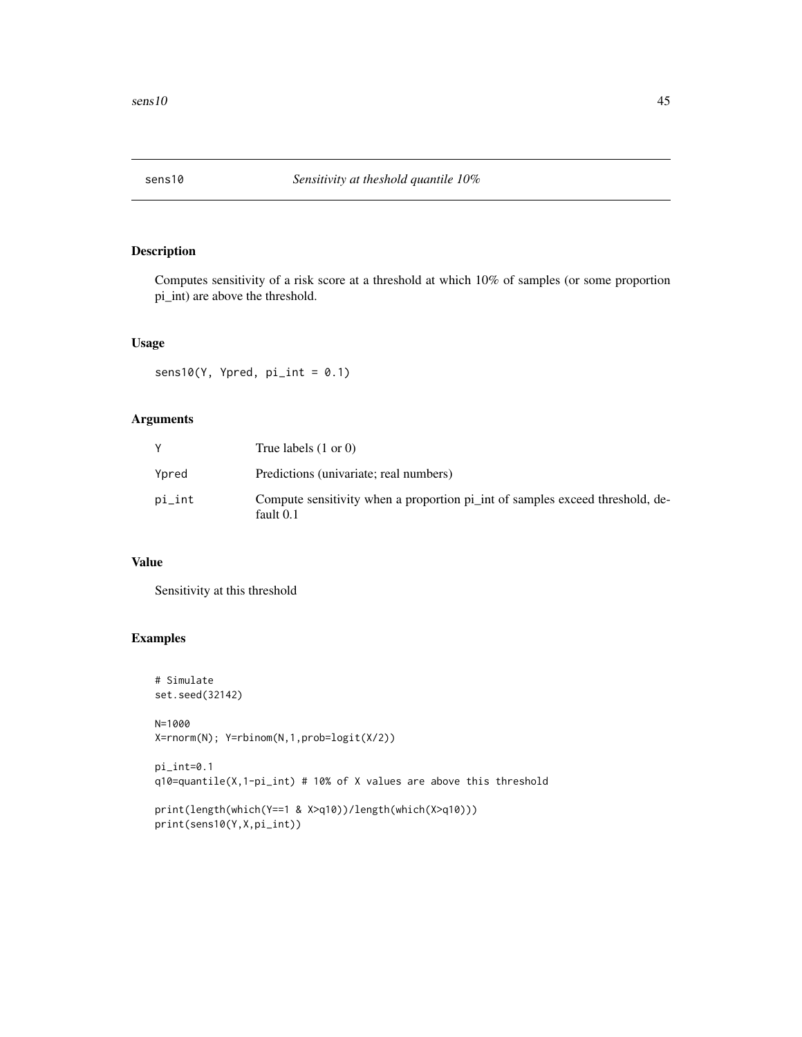<span id="page-44-0"></span>

# Description

Computes sensitivity of a risk score at a threshold at which 10% of samples (or some proportion pi\_int) are above the threshold.

# Usage

 $sens10(Y, Ypred, pi(int = 0.1)$ 

# Arguments

|        | True labels $(1 \text{ or } 0)$                                                            |
|--------|--------------------------------------------------------------------------------------------|
| Ypred  | Predictions (univariate; real numbers)                                                     |
| pi_int | Compute sensitivity when a proportion pi_int of samples exceed threshold, de-<br>fault 0.1 |

# Value

Sensitivity at this threshold

```
# Simulate
set.seed(32142)
N=1000
X=rnorm(N); Y=rbinom(N,1,prob=logit(X/2))
pi_int=0.1
q10=quantile(X,1-pi_int) # 10% of X values are above this threshold
print(length(which(Y==1 & X>q10))/length(which(X>q10)))
print(sens10(Y,X,pi_int))
```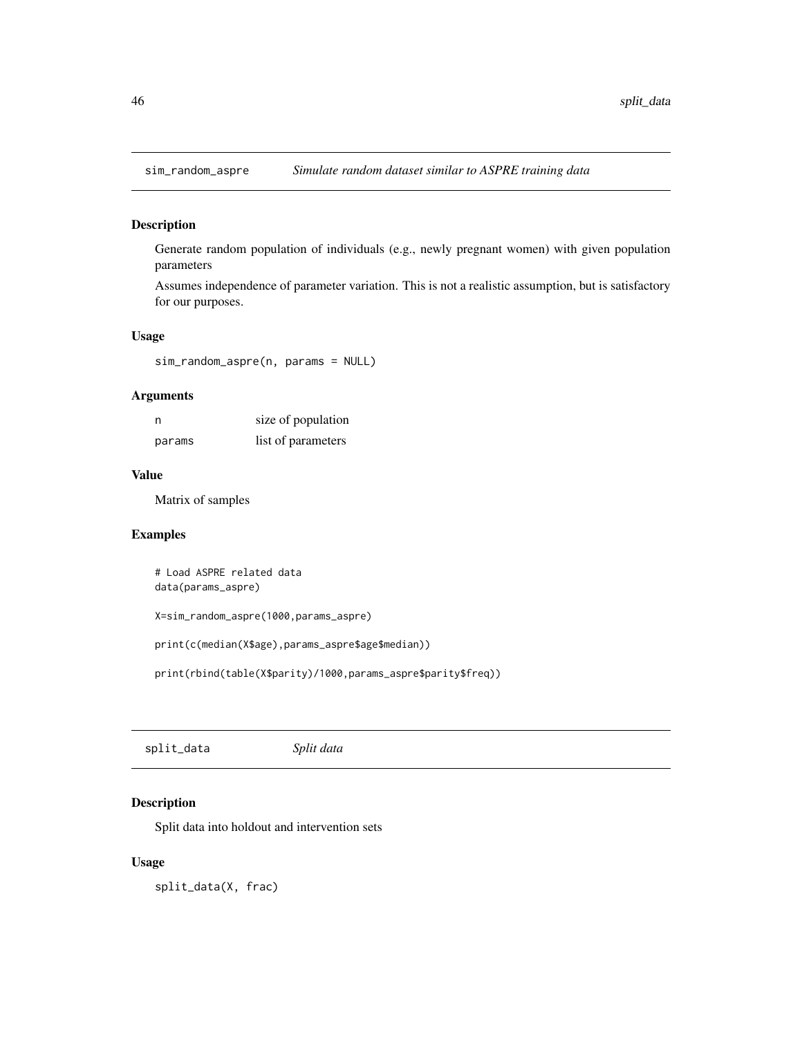<span id="page-45-0"></span>

# Description

Generate random population of individuals (e.g., newly pregnant women) with given population parameters

Assumes independence of parameter variation. This is not a realistic assumption, but is satisfactory for our purposes.

#### Usage

sim\_random\_aspre(n, params = NULL)

# Arguments

| n      | size of population |
|--------|--------------------|
| params | list of parameters |

# Value

Matrix of samples

#### Examples

```
# Load ASPRE related data
data(params_aspre)
```
X=sim\_random\_aspre(1000,params\_aspre)

```
print(c(median(X$age),params_aspre$age$median))
```
print(rbind(table(X\$parity)/1000,params\_aspre\$parity\$freq))

split\_data *Split data*

# Description

Split data into holdout and intervention sets

#### Usage

split\_data(X, frac)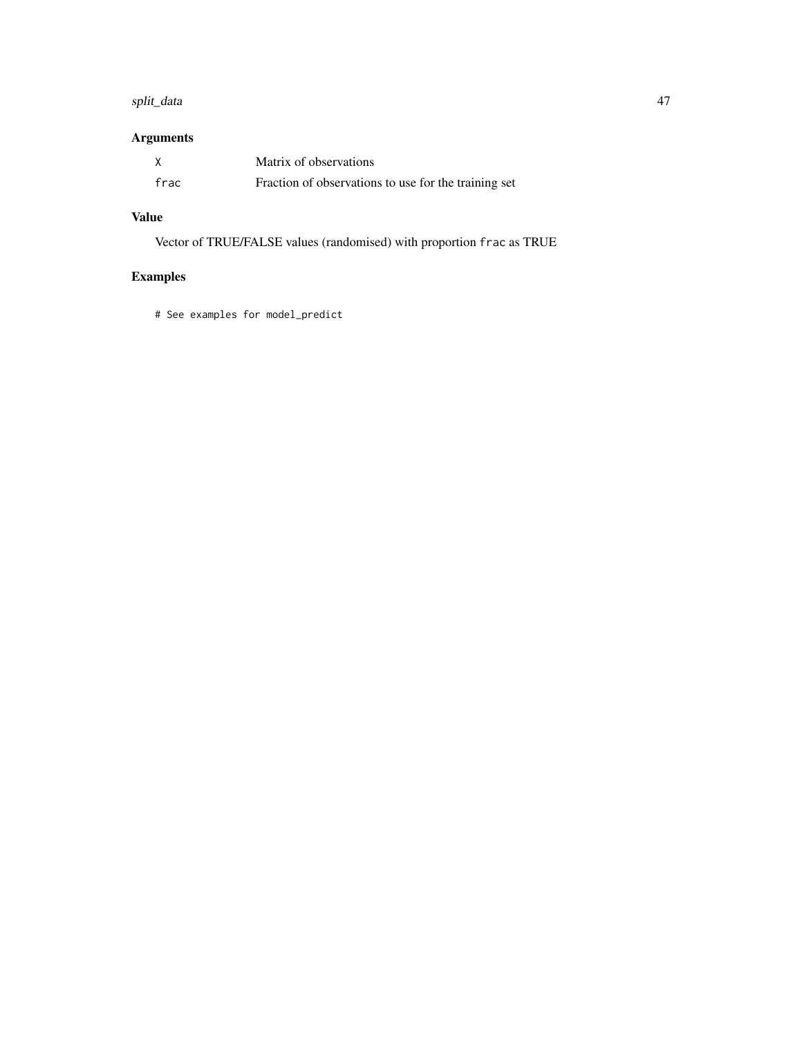#### split\_data 47

# Arguments

|      | Matrix of observations                               |
|------|------------------------------------------------------|
| frac | Fraction of observations to use for the training set |

# Value

Vector of TRUE/FALSE values (randomised) with proportion frac as TRUE

# Examples

# See examples for model\_predict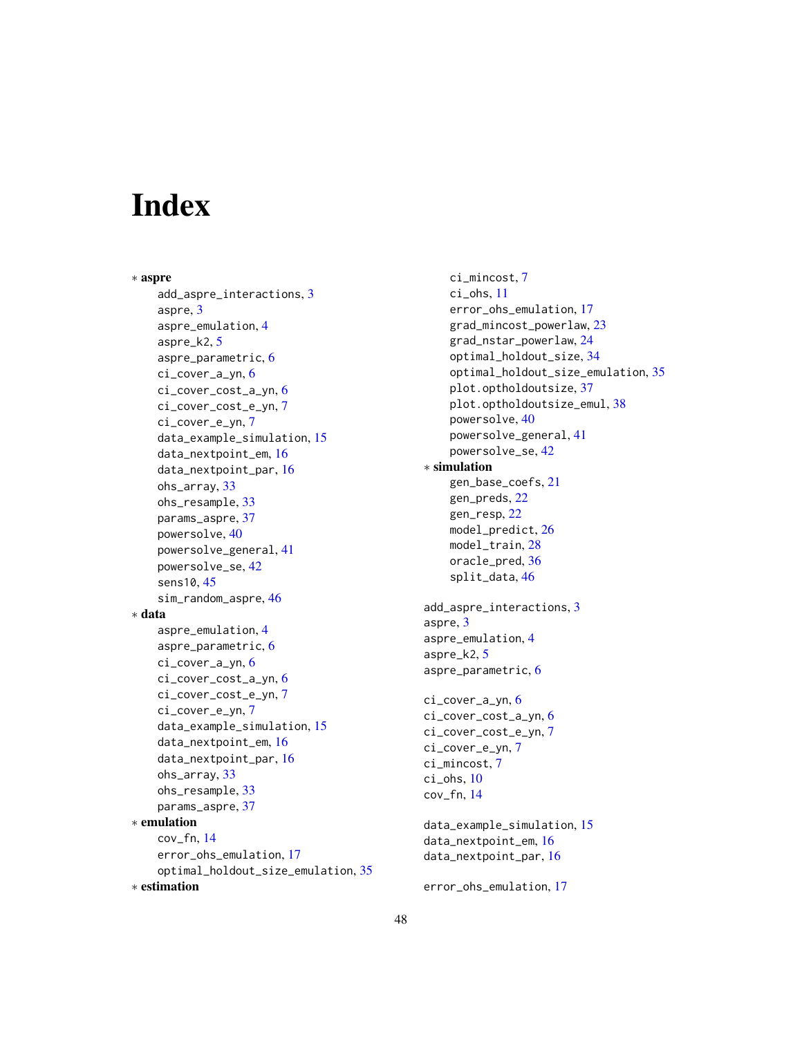# <span id="page-47-0"></span>**Index**

∗ aspre add\_aspre\_interactions, [3](#page-2-0) aspre, [3](#page-2-0) aspre\_emulation, [4](#page-3-0) aspre\_k2, [5](#page-4-0) aspre\_parametric, [6](#page-5-0) ci\_cover\_a\_yn, [6](#page-5-0) ci\_cover\_cost\_a\_yn, [6](#page-5-0) ci\_cover\_cost\_e\_yn, [7](#page-6-0) ci\_cover\_e\_yn, [7](#page-6-0) data\_example\_simulation, [15](#page-14-0) data\_nextpoint\_em, [16](#page-15-0) data\_nextpoint\_par, [16](#page-15-0) ohs\_array, [33](#page-32-0) ohs\_resample, [33](#page-32-0) params\_aspre, [37](#page-36-0) powersolve, [40](#page-39-0) powersolve\_general, [41](#page-40-0) powersolve\_se, [42](#page-41-0) sens10, [45](#page-44-0) sim\_random\_aspre, [46](#page-45-0) ∗ data aspre\_emulation, [4](#page-3-0) aspre\_parametric, [6](#page-5-0) ci\_cover\_a\_yn, [6](#page-5-0) ci\_cover\_cost\_a\_yn, [6](#page-5-0) ci\_cover\_cost\_e\_yn, [7](#page-6-0) ci\_cover\_e\_yn, [7](#page-6-0) data\_example\_simulation, [15](#page-14-0) data\_nextpoint\_em, [16](#page-15-0) data\_nextpoint\_par, [16](#page-15-0) ohs\_array, [33](#page-32-0) ohs\_resample, [33](#page-32-0) params\_aspre, [37](#page-36-0) ∗ emulation cov\_fn, [14](#page-13-0) error\_ohs\_emulation, [17](#page-16-0) optimal\_holdout\_size\_emulation, [35](#page-34-0) ∗ estimation

ci\_mincost, [7](#page-6-0) ci\_ohs, [11](#page-10-0) error\_ohs\_emulation, [17](#page-16-0) grad\_mincost\_powerlaw, [23](#page-22-0) grad\_nstar\_powerlaw, [24](#page-23-0) optimal\_holdout\_size, [34](#page-33-0) optimal\_holdout\_size\_emulation, [35](#page-34-0) plot.optholdoutsize, [37](#page-36-0) plot.optholdoutsize\_emul, [38](#page-37-0) powersolve, [40](#page-39-0) powersolve\_general, [41](#page-40-0) powersolve\_se, [42](#page-41-0) ∗ simulation gen\_base\_coefs, [21](#page-20-0) gen\_preds, [22](#page-21-0) gen\_resp, [22](#page-21-0) model\_predict, [26](#page-25-0) model\_train, [28](#page-27-0) oracle\_pred, [36](#page-35-0) split\_data, [46](#page-45-0) add\_aspre\_interactions, [3](#page-2-0) aspre, [3](#page-2-0) aspre\_emulation, [4](#page-3-0) aspre\_k2, [5](#page-4-0) aspre\_parametric, [6](#page-5-0) ci\_cover\_a\_yn, [6](#page-5-0) ci\_cover\_cost\_a\_yn, [6](#page-5-0) ci\_cover\_cost\_e\_yn, [7](#page-6-0) ci\_cover\_e\_yn, [7](#page-6-0) ci\_mincost, [7](#page-6-0) ci\_ohs, [10](#page-9-0) cov\_fn, [14](#page-13-0) data\_example\_simulation, [15](#page-14-0) data\_nextpoint\_em, [16](#page-15-0) data\_nextpoint\_par, [16](#page-15-0) error\_ohs\_emulation, [17](#page-16-0)